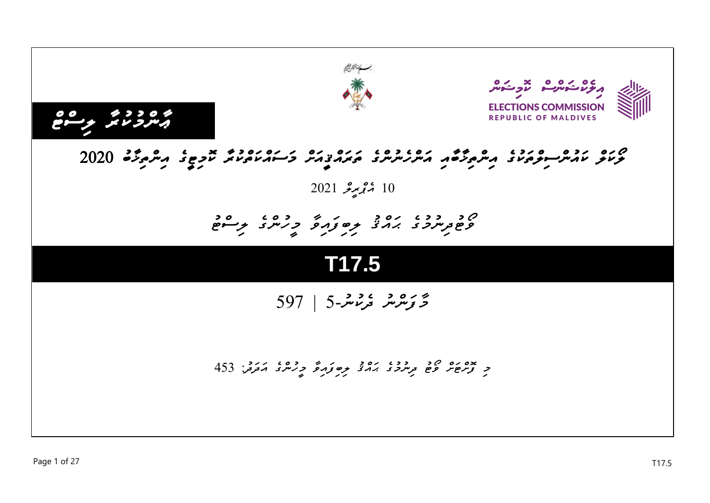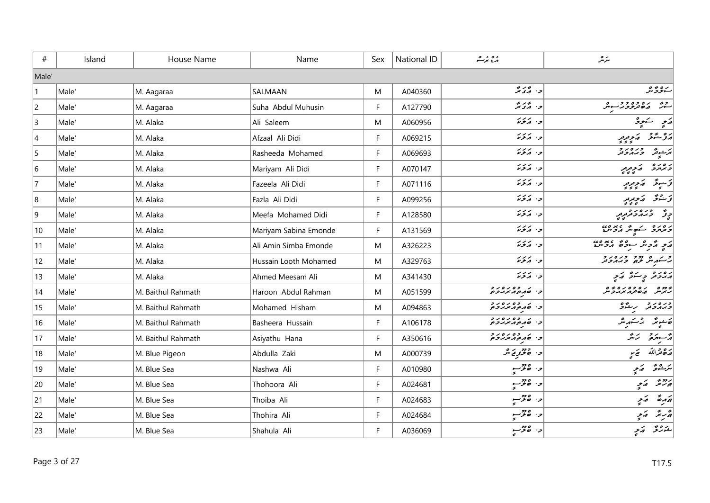| #               | Island | House Name         | Name                  | Sex       | National ID | ، ه ، مر ه<br>د <u>،</u> بر ه | ىئرىتر                                           |
|-----------------|--------|--------------------|-----------------------|-----------|-------------|-------------------------------|--------------------------------------------------|
| Male'           |        |                    |                       |           |             |                               |                                                  |
| 1               | Male'  | M. Aagaraa         | SALMAAN               | M         | A040360     | وسيمى تبر                     | سەۋۇبىر                                          |
| 2               | Male'  | M. Aagaraa         | Suha Abdul Muhusin    | F         | A127790     | وسيمىء                        | روم دەۋەرەربىر                                   |
| $ 3\rangle$     | Male'  | M. Alaka           | Ali Saleem            | M         | A060956     | ە بەتەتكە                     | ړې خود                                           |
| $\vert 4 \vert$ | Male'  | M. Alaka           | Afzaal Ali Didi       | F         | A069215     | ە بەتىمە                      | ره موسيق مكونږيز<br>مركز مكونږيز                 |
| $\overline{5}$  | Male'  | M. Alaka           | Rasheeda Mohamed      | F         | A069693     | ە بەتەتكە                     | ر دره دره دره<br>برخونگ وبرابرونو                |
| $\overline{6}$  | Male'  | M. Alaka           | Mariyam Ali Didi      | F         | A070147     | ە بە ئەتمە                    | رەرە كەربىرىر                                    |
| $\vert$ 7       | Male'  | M. Alaka           | Fazeela Ali Didi      | F         | A071116     | ە بەتەتكە                     | ۇخوڭ كەمچەرەر                                    |
| 8               | Male'  | M. Alaka           | Fazla Ali Didi        | F         | A099256     | ە بە ئەتمە                    | تى شەنجە كەنچەتلەر<br>تى شەنجە كەنجە ئەرەپ       |
| 9               | Male'  | M. Alaka           | Meefa Mohamed Didi    | F         | A128580     | ە بەتەتكە                     | و <i>ژه د دورورد</i><br>وگ <i>ه د ب</i> روتربربر |
| 10              | Male'  | M. Alaka           | Mariyam Sabina Emonde | F         | A131569     | ە بەتەئە                      | ره ره در پر درده                                 |
| 11              | Male'  | M. Alaka           | Ali Amin Simba Emonde | ${\sf M}$ | A326223     | ە بە ئەتمە                    | ړنې ډېره سره په ده                               |
| 12              | Male'  | M. Alaka           | Hussain Looth Mohamed | ${\sf M}$ | A329763     | ە بەتىمە                      | و کرده دو وره دو                                 |
| 13              | Male'  | M. Alaka           | Ahmed Meesam Ali      | ${\sf M}$ | A341430     | ە بە ئەتمە                    | ג פג ב בוכל הב                                   |
| 14              | Male'  | M. Baithul Rahmath | Haroon Abdul Rahman   | M         | A051599     | 5,00,05,00,00                 |                                                  |
| 15              | Male'  | M. Baithul Rahmath | Mohamed Hisham        | M         | A094863     |                               | ورورو ریمو                                       |
| 16              | Male'  | M. Baithul Rahmath | Basheera Hussain      | F         | A106178     | 5,00,05,00.5                  | ەھىيە ئەسكەر                                     |
| 17              | Male'  | M. Baithul Rahmath | Asiyathu Hana         | F         | A350616     |                               | ە ئەسىر ئەھرى ئەسىر                              |
| 18              | Male'  | M. Blue Pigeon     | Abdulla Zaki          | M         | A000739     | د . ھۆزىئە ش                  | برە قراللە ئىم يە                                |
| 19              | Male'  | M. Blue Sea        | Nashwa Ali            | F         | A010980     | $-30.5$                       | بترشوش كدمج                                      |
| 20              | Male'  | M. Blue Sea        | Thohoora Ali          | F         | A024681     | $-30.5$                       | بردد بر                                          |
| 21              | Male'  | M. Blue Sea        | Thoiba Ali            | F         | A024683     | $-30.5$                       |                                                  |
| 22              | Male'  | M. Blue Sea        | Thohira Ali           | F         | A024684     | $-30.5$                       | ە ئەيە ئەر                                       |
| 23              | Male'  | M. Blue Sea        | Shahula Ali           | F         | A036069     | د . هڅو په<br>د               | شرح قدم م                                        |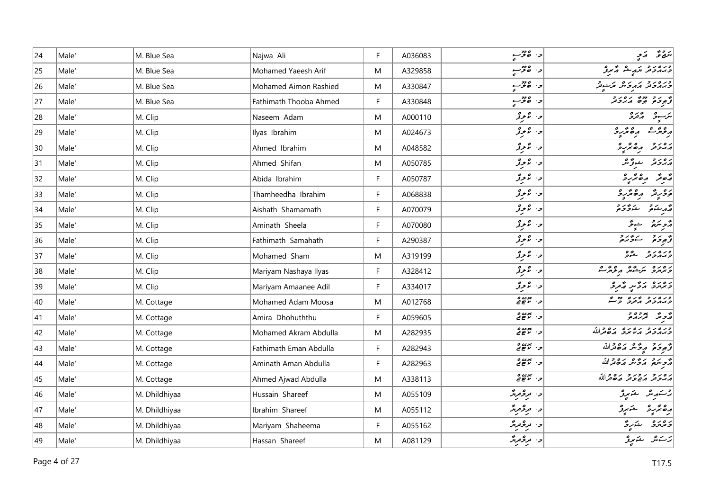| 24 | Male' | M. Blue Sea   | Najwa Ali              | F           | A036083 | $-30.5$                                                                       | أنتزج وكالمح                                 |
|----|-------|---------------|------------------------|-------------|---------|-------------------------------------------------------------------------------|----------------------------------------------|
| 25 | Male' | M. Blue Sea   | Mohamed Yaeesh Arif    | M           | A329858 | احق ھوسو                                                                      | ورورو تهيك كمبرو                             |
| 26 | Male' | M. Blue Sea   | Mohamed Aimon Rashied  | M           | A330847 | $-30.5$                                                                       | ورەرو كەركىر كەشپۇ                           |
| 27 | Male' | M. Blue Sea   | Fathimath Thooba Ahmed | F           | A330848 | $-30.5$                                                                       | 3101 42 31 5                                 |
| 28 | Male' | M. Clip       | Naseem Adam            | M           | A000110 | د . ما دِرْ                                                                   | پور ہ<br>مرکزو<br>ىئەسەۋ                     |
| 29 | Male' | M. Clip       | Ilyas Ibrahim          | M           | A024673 | والمعمور                                                                      | وبحثر<br>دە ترىرى                            |
| 30 | Male' | M. Clip       | Ahmed Ibrahim          | M           | A048582 | <sub>و</sub> . ءُمِروْ                                                        |                                              |
| 31 | Male' | M. Clip       | Ahmed Shifan           | M           | A050785 | والأمرو                                                                       | بر ٥ پر ۳<br>د بر <del>د</del> تر            |
| 32 | Male' | M. Clip       | Abida Ibrahim          | $\mathsf F$ | A050787 | والمعمولى                                                                     | مُّصِدٌ مِصْدُرٍ                             |
| 33 | Male' | M. Clip       | Thamheedha Ibrahim     | $\mathsf F$ | A068838 | د. ئامرۇ                                                                      | ەرھ ئۆر ۋ<br>ر ه په پژگه<br>موځ              |
| 34 | Male' | M. Clip       | Aishath Shamamath      | F           | A070079 | د. ئاموژ                                                                      | شە ئەر ج<br>ړ پر شوی                         |
| 35 | Male' | M. Clip       | Aminath Sheela         | F           | A070080 | د. ما دِرْ                                                                    | حشيونخر<br>أرمر وسره                         |
| 36 | Male' | M. Clip       | Fathimath Samahath     | F           | A290387 | و· ماموی                                                                      | سەۋرە<br>ء بر د<br>ترجو حو                   |
| 37 | Male' | M. Clip       | Mohamed Sham           | M           | A319199 | د ، ماموژ                                                                     | ورەر دەر                                     |
| 38 | Male' | M. Clip       | Mariyam Nashaya Ilyas  | F           | A328412 | د. ئامرۇ                                                                      | ו 2010 תוכאי הפתח                            |
| 39 | Male' | M. Clip       | Mariyam Amaanee Adil   | F           | A334017 | د ، ماروژ                                                                     | وبمهرو كذوبي كمورو                           |
| 40 | Male' | M. Cottage    | Mohamed Adam Moosa     | M           | A012768 | ה משים<br>כי מפו                                                              | כנסנכ שנס חדש<br>כגהכת התב כ                 |
| 41 | Male' | M. Cottage    | Amira Dhohuththu       | F.          | A059605 | ה משים<br>כי מפו                                                              | أوجانك المرمراه والمحمد                      |
| 42 | Male' | M. Cottage    | Mohamed Akram Abdulla  | M           | A282935 | ה יודעים<br>היי מים ב                                                         | وره رو ره ره ره والله                        |
| 43 | Male' | M. Cottage    | Fathimath Eman Abdulla | F           | A282943 | $\overset{o}{e}$ $\overset{c}{e}$ $\overset{\sim}{\nu}$ $\cdot$ $\rightarrow$ | وتجوح ويحمد وحدالله                          |
| 44 | Male' | M. Cottage    | Aminath Aman Abdulla   | $\mathsf F$ | A282963 | ה משים<br>כי מפו                                                              | محج معد محمد مقاديم                          |
| 45 | Male' | M. Cottage    | Ahmed Ajwad Abdulla    | M           | A338113 | ה משים<br>כי מפו                                                              | ره رو رورو ره د الله<br>مدح مر مومو مصر الله |
| 46 | Male' | M. Dhildhiyaa | Hussain Shareef        | M           | A055109 | د· ترڅونهگر                                                                   | چرىكىرىش كىتىپرۇ                             |
| 47 | Male' | M. Dhildhiyaa | Ibrahim Shareef        | M           | A055112 | و۰ ترڅورنگ                                                                    | رەپرىر خىرو                                  |
| 48 | Male' | M. Dhildhiyaa | Mariyam Shaheema       | F           | A055162 | و· مرومرگ <sup>5</sup>                                                        | رەرە شەر <i>ە</i>                            |
| 49 | Male' | M. Dhildhiyaa | Hassan Shareef         | M           | A081129 | و· تروگورتر<br>مر                                                             | پرستانلار استعمالی ک                         |
|    |       |               |                        |             |         |                                                                               |                                              |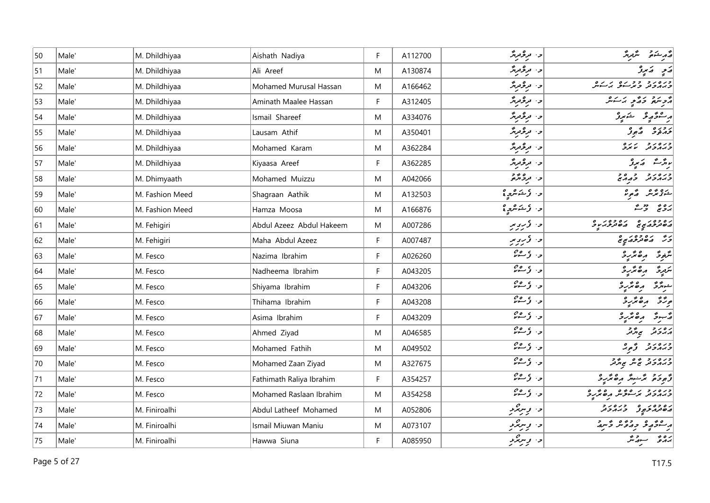| 50 | Male' | M. Dhildhiyaa   | Aishath Nadiya           | F         | A112700 | و <sub>ا</sub> مرتومبرگر            |                                                                                 |
|----|-------|-----------------|--------------------------|-----------|---------|-------------------------------------|---------------------------------------------------------------------------------|
| 51 | Male' | M. Dhildhiyaa   | Ali Areef                | M         | A130874 | ر. مر <sub>گ</sub> ورتر             | ړې په پړو                                                                       |
| 52 | Male' | M. Dhildhiyaa   | Mohamed Murusal Hassan   | M         | A166462 | ر . مرگ <sup>و</sup> مرتز<br>مر     | ورەرو ووروپرىكى                                                                 |
| 53 | Male' | M. Dhildhiyaa   | Aminath Maalee Hassan    | F         | A312405 | و· تروگرېز<br>مر                    | أدويتم وأأو بمسكر                                                               |
| 54 | Male' | M. Dhildhiyaa   | Ismail Shareef           | M         | A334076 | و۰ ترڅورنگ                          | رېشۇر ئىير                                                                      |
| 55 | Male' | M. Dhildhiyaa   | Lausam Athif             | M         | A350401 | و· تروگروگر                         | تروره به و                                                                      |
| 56 | Male' | M. Dhildhiyaa   | Mohamed Karam            | M         | A362284 | و· تروگرېز<br>مر                    | ورەر دررە                                                                       |
| 57 | Male' | M. Dhildhiyaa   | Kiyaasa Areef            | F         | A362285 | و۰ ترڅورنگ                          | پارچر ته اړسوی                                                                  |
| 58 | Male' | M. Dhimyaath    | Mohamed Muizzu           | ${\sf M}$ | A042066 | و· مرد پرو                          | כנסגב כסב                                                                       |
| 59 | Male' | M. Fashion Meed | Shagraan Aathik          | M         | A132503 | <mark>و. ۇشەھرې</mark>              | شۇترىكى ئەم                                                                     |
| 60 | Male' | M. Fashion Meed | Hamza Moosa              | M         | A166876 | د. ۇخەشر <sub>ى</sub> ؟             | ره په دون                                                                       |
| 61 | Male' | M. Fehigiri     | Abdul Azeez Abdul Hakeem | M         | A007286 | وسؤريرير                            | קס כסק ס קס כסקצע פ                                                             |
| 62 | Male' | M. Fehigiri     | Maha Abdul Azeez         | F         | A007487 | <br> وس كى رى مر                    | 0 1070 1 11                                                                     |
| 63 | Male' | M. Fesco        | Nazima Ibrahim           | F         | A026260 | اه و محمد                           | بترويح وعيرو                                                                    |
| 64 | Male' | M. Fesco        | Nadheema Ibrahim         | F         | A043205 | د . ۇسىر                            | وە ئۈرۈ<br>سرمرتز                                                               |
| 65 | Male' | M. Fesco        | Shiyama Ibrahim          | F         | A043206 | د . ۇسىر                            | ە ھەترىرى<br>مەھەترىرى<br>شودگر دی<br>مر                                        |
| 66 | Male' | M. Fesco        | Thihama Ibrahim          | F         | A043208 | د . ۇپ                              | جوزة<br>برە ئۆرۈ                                                                |
| 67 | Male' | M. Fesco        | Asima Ibrahim            | F.        | A043209 | د . ۇپ                              | لقسبة<br>دە ئەرد                                                                |
| 68 | Male' | M. Fesco        | Ahmed Ziyad              | M         | A046585 | له ، وګ                             | גפגב <sub>א</sub> תב                                                            |
| 69 | Male' | M. Fesco        | Mohamed Fathih           | M         | A049502 | د . ۇسىر                            | ورەر د ۋە                                                                       |
| 70 | Male' | M. Fesco        | Mohamed Zaan Ziyad       | M         | A327675 | د . ۇسىر                            | כנסנכ שם שיתוב<br>בגהכת שית שיתוב                                               |
| 71 | Male' | M. Fesco        | Fathimath Raliya Ibrahim | F         | A354257 | د . ۇپ                              | وٌمِودَةٌ يُرْسَرَّ رَهْ يُرِدُّ                                                |
| 72 | Male' | M. Fesco        | Mohamed Raslaan Ibrahim  | M         | A354258 | د . ۇسىر                            | כנסגר גם בסיס<br>כמו כני ת' יביית ונסמגיב                                       |
| 73 | Male' | M. Finiroalhi   | Abdul Latheef Mohamed    | M         | A052806 | د. ومبرچمو                          | גם כסג <sub>ות</sub> פיסגב<br>ג <i>יסינות ב<sub>וק</sub>ב</i> ל כ <i>גו</i> בכנ |
| 74 | Male' | M. Finiroalhi   | Ismail Miuwan Maniu      | M         | A073107 | <mark>و<sub>:</sub> ومبرنگرد</mark> |                                                                                 |
| 75 | Male' | M. Finiroalhi   | Hawwa Siuna              | F         | A085950 | د. ومرچو                            | برە ئەسىرتىر                                                                    |
|    |       |                 |                          |           |         |                                     |                                                                                 |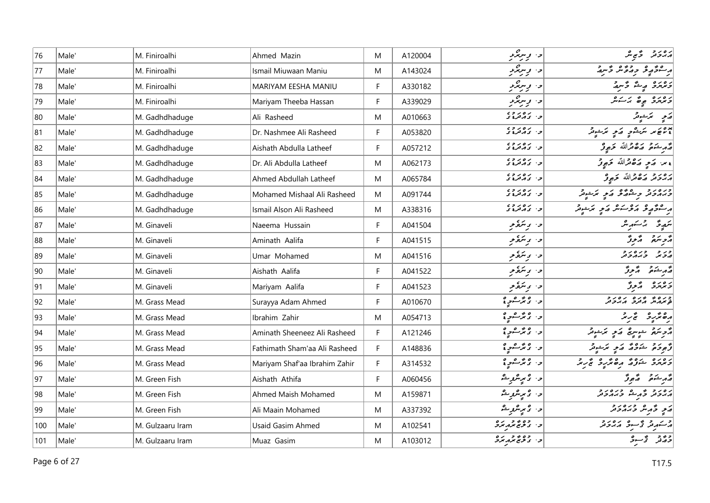| 76  | Male' | M. Finiroalhi    | Ahmed Mazin                   | M           | A120004 | د· و سرچمو                        | د مرد گرم گرم می                                                                                                                                                                                                                 |
|-----|-------|------------------|-------------------------------|-------------|---------|-----------------------------------|----------------------------------------------------------------------------------------------------------------------------------------------------------------------------------------------------------------------------------|
| 77  | Male' | M. Finiroalhi    | Ismail Miuwaan Maniu          | M           | A143024 |                                   | ر مؤثر و دوشر د سر                                                                                                                                                                                                               |
| 78  | Male' | M. Finiroalhi    | MARIYAM EESHA MANIU           | F           | A330182 | د. ومرتزر                         | أدمرو ريثة ومرة                                                                                                                                                                                                                  |
| 79  | Male' | M. Finiroalhi    | Mariyam Theeba Hassan         | E           | A339029 | د. ومبرچو                         | دەرە بوڭ ئەسكىر                                                                                                                                                                                                                  |
| 80  | Male' | M. Gadhdhaduge   | Ali Rasheed                   | M           | A010663 | ر ه ر د د<br>و ۰ کامالوی ک        | كامي الكرشوقر                                                                                                                                                                                                                    |
| 81  | Male' | M. Gadhdhaduge   | Dr. Nashmee Ali Rasheed       | F           | A053820 | ر ه ر د د<br>د ۰ کاملانا ک        | بره را استر استان می استان در استان به در استان به در استان به در استان در استان به دار به دار به دست به دست ا<br>در استان به دستان به دستان به دستان به دستان به دستان به دستان به دستان به دستان به دستان به دستان به دستان به |
| 82  | Male' | M. Gadhdhaduge   | Aishath Abdulla Latheef       | F           | A057212 | ر ه ر و د<br>و ۰ کامانوی ک        | صَّمَرْ شَوْءَ صَرْحَدَاللَّهُ حَرْجٍ ثَرَ                                                                                                                                                                                       |
| 83  | Male' | M. Gadhdhaduge   | Dr. Ali Abdulla Latheef       | M           | A062173 | ره روء<br>ح• کەمىرو ت             | ، مَدِ حَقَّ صَدْاللّه حَدِّدٍ وَ                                                                                                                                                                                                |
| 84  | Male' | M. Gadhdhaduge   | Ahmed Abdullah Latheef        | M           | A065784 | ر ه ر و د<br>و ۰ کامالوی ک        | برەر ئەھەمەللە مەركى                                                                                                                                                                                                             |
| 85  | Male' | M. Gadhdhaduge   | Mohamed Mishaal Ali Rasheed   | M           | A091744 | ر ه ر و د<br>و ۰ کامگرو ک         | ورەرو وىشەگە كەي كەشەر                                                                                                                                                                                                           |
| 86  | Male' | M. Gadhdhaduge   | Ismail Alson Ali Rasheed      | M           | A338316 | ر ه ر و د<br>و ۰ کامالوی ک        | ړ جۇړپى كۆككى كې كېچىد                                                                                                                                                                                                           |
| 87  | Male' | M. Ginaveli      | Naeema Hussain                | F.          | A041504 | ح بر سرء محر                      | شَهِرَةٌ بِرَكْسَرِيْتُرْ                                                                                                                                                                                                        |
| 88  | Male' | M. Ginaveli      | Aminath Aalifa                | F           | A041515 | ح بر سرء محر                      | أزويته أأرواد                                                                                                                                                                                                                    |
| 89  | Male' | M. Ginaveli      | Umar Mohamed                  | M           | A041516 | ح بر سرء محر                      | 21012 212                                                                                                                                                                                                                        |
| 90  | Male' | M. Ginaveli      | Aishath Aalifa                | F           | A041522 | د· بر سَمَعْ مِرِ                 | مەر خىتى ئىم ئىر                                                                                                                                                                                                                 |
| 91  | Male' | M. Ginaveli      | Mariyam Aalifa                | $\mathsf F$ | A041523 | ح بر سرگامو                       | ويردو أزوقر                                                                                                                                                                                                                      |
| 92  | Male' | M. Grass Mead    | Surayya Adam Ahmed            | F           | A010670 | وسي محر مشرح وي                   | כנסת תנקס נסנכ<br>תממית הנקב המכנק                                                                                                                                                                                               |
| 93  | Male' | M. Grass Mead    | Ibrahim Zahir                 | M           | A054713 | وسي عرضوني                        | مەھترىرى تمرىر                                                                                                                                                                                                                   |
| 94  | Male' | M. Grass Mead    | Aminath Sheeneez Ali Rasheed  | $\mathsf F$ | A121246 | د . ، د ټرگسو په <sup>ه</sup>     | أأدوسكم المستوسر والمحافظ والمستور                                                                                                                                                                                               |
| 95  | Male' | M. Grass Mead    | Fathimath Sham'aa Ali Rasheed | F           | A148836 | وسي محر صحيح في المحمد            | وٌ وَ دَمَ عَادَهُ إِلَيْ الْمُسْوِرُ                                                                                                                                                                                            |
| 96  | Male' | M. Grass Mead    | Mariyam Shaf'aa Ibrahim Zahir | F           | A314532 | وسي مخر شوي                       | כמתכ בנג' תלמיק ביק                                                                                                                                                                                                              |
| 97  | Male' | M. Green Fish    | Aishath Athifa                | F           | A060456 | د. گرېږمبرېنه                     | مەر شەم ئەبور                                                                                                                                                                                                                    |
| 98  | Male' | M. Green Fish    | Ahmed Maish Mohamed           | M           | A159871 | و. ومريترونق <mark>ي</mark>       | גפנד בונים בגםנדב                                                                                                                                                                                                                |
| 99  | Male' | M. Green Fish    | Ali Maain Mohamed             | M           | A337392 | د. د مړيندرينه                    | ړی و په دره ده                                                                                                                                                                                                                   |
| 100 | Male' | M. Gulzaaru Iram | <b>Usaid Gasim Ahmed</b>      | M           | A102541 | - 2022 و ره<br>و· د نومځ براړ برگ | ومستمر قمح المسرد والمراد والمحمد                                                                                                                                                                                                |
| 101 | Male' | M. Gulzaaru Iram | Muaz Gasim                    | M           | A103012 | و و و پر و پر و                   | وړنر تژسو                                                                                                                                                                                                                        |
|     |       |                  |                               |             |         |                                   |                                                                                                                                                                                                                                  |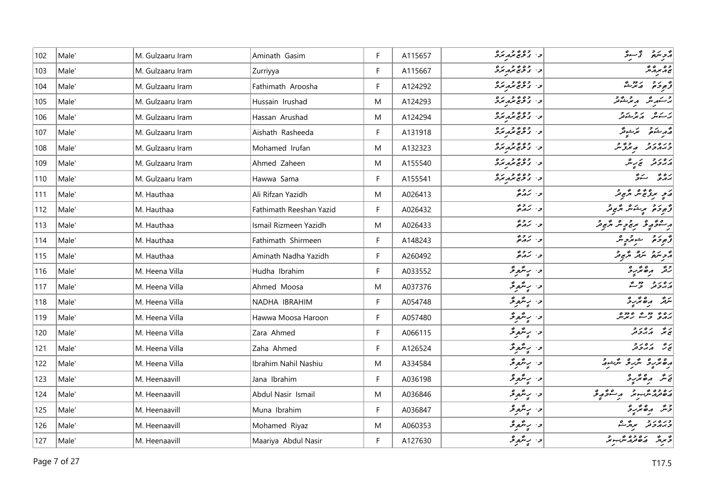| 102 | Male' | M. Gulzaaru Iram | Aminath Gasim           | F  | A115657 | - 2233 مركز 20<br>- 223 مركز 2          | أأرمن المساور                                |
|-----|-------|------------------|-------------------------|----|---------|-----------------------------------------|----------------------------------------------|
| 103 | Male' | M. Gulzaaru Iram | Zurriyya                | F. | A115667 | - 2007 م.<br>3- 2007 م.م.               | כם החית<br>המקבו <i>ת</i>                    |
| 104 | Male' | M. Gulzaaru Iram | Fathimath Aroosha       | F  | A124292 | وسي وه محركة بمركز                      | و دو دود                                     |
| 105 | Male' | M. Gulzaaru Iram | Hussain Irushad         | M  | A124293 | و . ووځ ترو ترو                         | برسكريش ويرتثقو                              |
| 106 | Male' | M. Gulzaaru Iram | Hassan Arushad          | M  | A124294 |                                         | ىز سەھرى ئەترىشەتر                           |
| 107 | Male' | M. Gulzaaru Iram | Aishath Rasheeda        | F  | A131918 | وسي وه بر در ده.<br>دست د نوم برمرنگر   | أقهر مشكاتهم المحرمشوقكر                     |
| 108 | Male' | M. Gulzaaru Iram | Mohamed Irufan          | M  | A132323 | د . د و و د و ر ه<br>د . د و د تمکر ترک | وره رو در ورو د<br><i>وب</i> رماوند به برو س |
| 109 | Male' | M. Gulzaaru Iram | Ahmed Zaheen            | M  | A155540 | و وه و چرم ترو                          | پروتر تم پیر                                 |
| 110 | Male' | M. Gulzaaru Iram | Hawwa Sama              | F. | A155541 | و ، و و و و د و<br>و . و و ی برد برگ    | رەپ سەپ                                      |
| 111 | Male' | M. Hauthaa       | Ali Rifzan Yazidh       | M  | A026413 | و• رژويچ                                | أرَمِي مَروْجٌ مَرْ مَرَّسِي مْرَ            |
| 112 | Male' | M. Hauthaa       | Fathimath Reeshan Yazid | F. | A026432 | و که تره                                | أقرموحرم بمستوسر اقرام فتحر                  |
| 113 | Male' | M. Hauthaa       | Ismail Rizmeen Yazidh   | M  | A026433 | وستهرج                                  |                                              |
| 114 | Male' | M. Hauthaa       | Fathimath Shirmeen      | F  | A148243 | و که تره                                | ڙوڌو جو پڙ                                   |
| 115 | Male' | M. Hauthaa       | Aminath Nadha Yazidh    | F. | A260492 | و· رژوء                                 | أأدح سرة أسرقر الرسم فر                      |
| 116 | Male' | M. Heena Villa   | Hudha Ibrahim           | F  | A033552 | ر. <sub>س</sub> ِتَّمُوتَّر             | ر قدّ مەھمەر 2                               |
| 117 | Male' | M. Heena Villa   | Ahmed Moosa             | M  | A037376 | ر. ر <sub>ینگ</sub> ویژ                 | رەرد دور                                     |
| 118 | Male' | M. Heena Villa   | NADHA IBRAHIM           | F. | A054748 | د· ر <sub>ی</sub> سٌموځ                 | يَرَمَّدُ مِنْ يُرْبِرْ                      |
| 119 | Male' | M. Heena Villa   | Hawwa Moosa Haroon      | F. | A057480 | ر. ر <sub>ی</sub> تموژ                  | رە پە دەپ ئەدە ە                             |
| 120 | Male' | M. Heena Villa   | Zara Ahmed              | F  | A066115 | ر. ر <sub>ینگ</sub> ویژ                 | پر پی در د                                   |
| 121 | Male' | M. Heena Villa   | Zaha Ahmed              | F  | A126524 | ر. ر <sub>ینگ</sub> ورمح                | بر می کرد در<br>بح <sup>ر ک</sup> ر مرکز مر  |
| 122 | Male' | M. Heena Villa   | Ibrahim Nahil Nashiu    | M  | A334584 | ر. پەنگ <sub>ى</sub> رگە                | رەغرىرو مۇرو مۇجرە                           |
| 123 | Male' | M. Heenaavill    | Jana Ibrahim            | F  | A036198 | د· به شود                               | ئے مگر رہے گرے                               |
| 124 | Male' | M. Heenaavill    | Abdul Nasir Ismail      | M  | A036846 | د· ريت <sub>گ</sub> وو                  | גם כם הו היה גם באגב                         |
| 125 | Male' | M. Heenaavill    | Muna Ibrahim            | F  | A036847 | د په توو                                | دشر مەئزىرد                                  |
| 126 | Male' | M. Heenaavill    | Mohamed Riyaz           | M  | A060353 | د· رِسَّوِدْ                            | و ر ه ر د<br>تر پر تر تر<br>ىرەڭرىشە         |
| 127 | Male' | M. Heenaavill    | Maariya Abdul Nasir     | F  | A127630 | د· رِسَّوِدْ                            | י מי הפרס מי ה                               |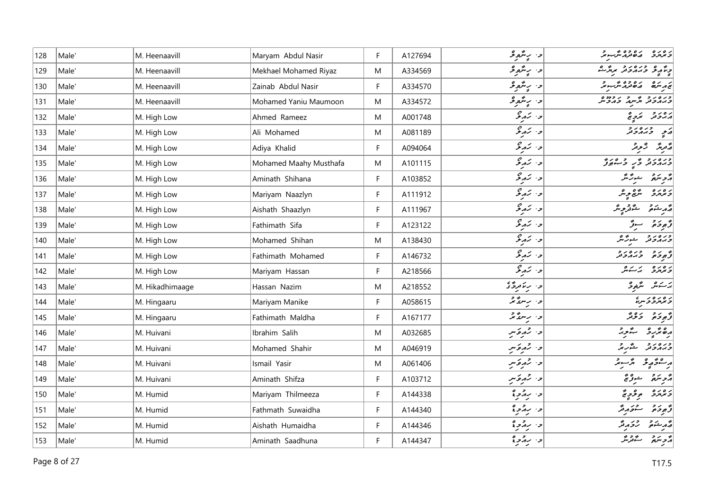| 128 | Male' | M. Heenaavill   | Maryam Abdul Nasir     | $\mathsf F$ | A127694 | <sub>و</sub> . رِسُّوِوْ     | י סיים יים פס מהיה ב<br>בינו <i>ת כ" ה</i> סנגות הייב |
|-----|-------|-----------------|------------------------|-------------|---------|------------------------------|-------------------------------------------------------|
| 129 | Male' | M. Heenaavill   | Mekhael Mohamed Riyaz  | M           | A334569 | <sub>و` سٍتَّنَّفرِ قر</sub> | وشهو ورەرو مەر                                        |
| 130 | Male' | M. Heenaavill   | Zainab Abdul Nasir     | F.          | A334570 | ر. <sub>س</sub> ېتمونژ       | ן 2010 של היברי<br>تجرمته                             |
| 131 | Male' | M. Heenaavill   | Mohamed Yaniu Maumoon  | M           | A334572 | د ريڻوؤ                      | כנסנכ שתב בגבס<br>כמהכני תיינה בהכיינ                 |
| 132 | Male' | M. High Low     | Ahmed Rameez           | M           | A001748 | ە ئەدى                       | پرور پر په                                            |
| 133 | Male' | M. High Low     | Ali Mohamed            | M           | A081189 | د که کر                      | أيمو ورەرو                                            |
| 134 | Male' | M. High Low     | Adiya Khalid           | F           | A094064 | د زړې                        | أرتمريز المتحوفر                                      |
| 135 | Male' | M. High Low     | Mohamed Maahy Musthafa | ${\sf M}$   | A101115 | د زړې                        | ورەر د د د دەرد                                       |
| 136 | Male' | M. High Low     | Aminath Shihana        | F.          | A103852 | و- ئەدبى                     | مەجەسىمە سىرتىگە                                      |
| 137 | Male' | M. High Low     | Mariyam Naazlyn        | $\mathsf F$ | A111912 | و- سُهرِدٌ                   | سرچ پویٹر<br>ر ه ر ه                                  |
| 138 | Male' | M. High Low     | Aishath Shaazlyn       | F           | A111967 | د که کر                      | ڪُن <i>ورمو پ</i> ر<br>پ <sup>و</sup> مرشومو<br>مرم   |
| 139 | Male' | M. High Low     | Fathimath Sifa         | F           | A123122 | د که کر                      | ۇ بوز ە<br>سىزتر                                      |
| 140 | Male' | M. High Low     | Mohamed Shihan         | M           | A138430 | د که کر                      | ورەرو جوڭش                                            |
| 141 | Male' | M. High Low     | Fathimath Mohamed      | $\mathsf F$ | A146732 | د زمرد                       | أو دو دره دو                                          |
| 142 | Male' | M. High Low     | Mariyam Hassan         | F           | A218566 | د آرگرد هم                   | دەرە برىكى                                            |
| 143 | Male' | M. Hikadhimaage | Hassan Nazim           | ${\sf M}$   | A218552 | د ۱ رندگرده<br>۱             | ىز سەنگە<br>سَّرْهُ رُ                                |
| 144 | Male' | M. Hingaaru     | Mariyam Manike         | F.          | A058615 | و· سببرچمر                   | ر ه ر ه ر<br>د بر د د د سرند                          |
| 145 | Male' | M. Hingaaru     | Fathimath Maldha       | $\mathsf F$ | A167177 | او. رسومبر<br>—              | وَجِعِدَهُ دَوْمَرٌ                                   |
| 146 | Male' | M. Huivani      | Ibrahim Salih          | ${\sf M}$   | A032685 | د گهروگېر                    | ە ھەترىرى<br>برھەترىرى<br>ستكور                       |
| 147 | Male' | M. Huivani      | Mohamed Shahir         | M           | A046919 | <mark>وستمرځ</mark> سر       | و رە ر د<br>تر پر تر تر<br>ستشرر متر                  |
| 148 | Male' | M. Huivani      | Ismail Yasir           | M           | A061406 | د گەۋس                       | ەگەر سەمگە<br>وستتحصفح                                |
| 149 | Male' | M. Huivani      | Aminath Shifza         | $\mathsf F$ | A103712 | د گەۋس                       | ړځ سرچ<br>شوقونج                                      |
| 150 | Male' | M. Humid        | Mariyam Thilmeeza      | F           | A144338 | د. بەدبى                     | ر ه ر ه<br>د بربرگ<br>موڅونځ                          |
| 151 | Male' | M. Humid        | Fathmath Suwaidha      | F           | A144340 | $\frac{1}{2}$                | ستمحكم فتر<br>وٌجوحهُ                                 |
| 152 | Male' | M. Humid        | Aishath Humaidha       | F.          | A144346 | د . برم <sup>و</sup> د؟      | حرى بە ئىگە<br>ومرمضو                                 |
| 153 | Male' | M. Humid        | Aminath Saadhuna       | F           | A144347 | د . برم <sup>و</sup> د؟      | ړې سره گورس                                           |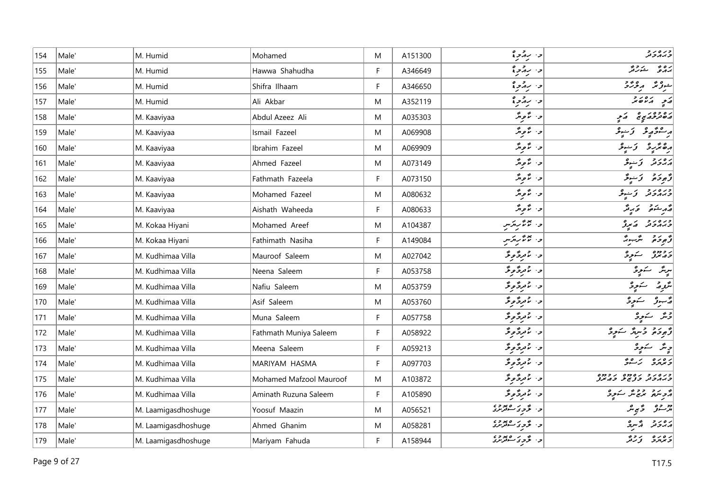| 154 | Male' | M. Humid            | Mohamed                 | M           | A151300 | $\frac{1}{2}$                            | و ر ه ر د<br>تربر تر تر                                                                                                                                                                                                                                                                                                                                                                                                                                                                                                                                                   |
|-----|-------|---------------------|-------------------------|-------------|---------|------------------------------------------|---------------------------------------------------------------------------------------------------------------------------------------------------------------------------------------------------------------------------------------------------------------------------------------------------------------------------------------------------------------------------------------------------------------------------------------------------------------------------------------------------------------------------------------------------------------------------|
| 155 | Male' | M. Humid            | Hawwa Shahudha          | F           | A346649 | د به برد و                               | رە بە<br>برادى<br>شەرقىر                                                                                                                                                                                                                                                                                                                                                                                                                                                                                                                                                  |
| 156 | Male' | M. Humid            | Shifra Ilhaam           | $\mathsf F$ | A346650 | د . برم <sup>و</sup> د؟                  | اھوتونتر<br>پ<br>برورد                                                                                                                                                                                                                                                                                                                                                                                                                                                                                                                                                    |
| 157 | Male' | M. Humid            | Ali Akbar               | M           | A352119 | د. بەدبى                                 | $\begin{array}{cc} \overline{\phantom{0}} & \phantom{\overline{0}} & \phantom{\overline{0}} & \phantom{\overline{0}} & \phantom{\overline{0}} & \phantom{\overline{0}} & \phantom{\overline{0}} & \phantom{\overline{0}} & \phantom{\overline{0}} & \phantom{\overline{0}} & \phantom{\overline{0}} & \phantom{\overline{0}} & \phantom{\overline{0}} & \phantom{\overline{0}} & \phantom{\overline{0}} & \phantom{\overline{0}} & \phantom{\overline{0}} & \phantom{\overline{0}} & \phantom{\overline{0}} & \phantom{\overline{0}} & \phantom{\overline{0}} & \phantom$ |
| 158 | Male' | M. Kaaviyaa         | Abdul Azeez Ali         | M           | A035303 | د . ئۈەژ                                 | ره وه ر <sub>و</sub><br>مەھىر <i>خەم</i> ي<br>رځ په                                                                                                                                                                                                                                                                                                                                                                                                                                                                                                                       |
| 159 | Male' | M. Kaaviyaa         | Ismail Fazeel           | M           | A069908 | د. ئأويژ                                 | ر جۇرپى كەنبەنى                                                                                                                                                                                                                                                                                                                                                                                                                                                                                                                                                           |
| 160 | Male' | M. Kaaviyaa         | Ibrahim Fazeel          | M           | A069909 | د. ئأوثر                                 | ە ھەترىرى<br>برھەترىرى                                                                                                                                                                                                                                                                                                                                                                                                                                                                                                                                                    |
| 161 | Male' | M. Kaaviyaa         | Ahmed Fazeel            | M           | A073149 | د . ئۈەژ                                 | رەرد تەنبەتھ                                                                                                                                                                                                                                                                                                                                                                                                                                                                                                                                                              |
| 162 | Male' | M. Kaaviyaa         | Fathmath Fazeela        | F           | A073150 | د. ئأوثر                                 | وتجوحكم وكسوقر                                                                                                                                                                                                                                                                                                                                                                                                                                                                                                                                                            |
| 163 | Male' | M. Kaaviyaa         | Mohamed Fazeel          | M           | A080632 | د. ئأوثر                                 | دېرورو ترخپو                                                                                                                                                                                                                                                                                                                                                                                                                                                                                                                                                              |
| 164 | Male' | M. Kaaviyaa         | Aishath Waheeda         | F           | A080633 | د . مأوِرَّ                              | وكرم شكوه المحامر فكر                                                                                                                                                                                                                                                                                                                                                                                                                                                                                                                                                     |
| 165 | Male' | M. Kokaa Hiyani     | Mohamed Areef           | M           | A104387 | د به میخواند مرس<br>م                    | ورەرو كەيدۇ                                                                                                                                                                                                                                                                                                                                                                                                                                                                                                                                                               |
| 166 | Male' | M. Kokaa Hiyani     | Fathimath Nasiha        | F           | A149084 | د . مېنم پر مرکس                         | متَرْبِيدِيَّ<br>ۇ بور د                                                                                                                                                                                                                                                                                                                                                                                                                                                                                                                                                  |
| 167 | Male' | M. Kudhimaa Villa   | Mauroof Saleem          | M           | A027042 | د ، ئاتېردگانوگر                         | ر و دوه<br><del>ز</del> ۸ پرن<br>سەرد                                                                                                                                                                                                                                                                                                                                                                                                                                                                                                                                     |
| 168 | Male' | M. Kudhimaa Villa   | Neena Saleem            | F           | A053758 | د ، ئۇرۇپۇ                               | سرند ڪوچ                                                                                                                                                                                                                                                                                                                                                                                                                                                                                                                                                                  |
| 169 | Male' | M. Kudhimaa Villa   | Nafiu Saleem            | M           | A053759 | و· ئ <sup>و</sup> نرۇ <sub>ۋ</sub> ۇ     | متندِهُ<br>سەرد                                                                                                                                                                                                                                                                                                                                                                                                                                                                                                                                                           |
| 170 | Male' | M. Kudhimaa Villa   | Asif Saleem             | M           | A053760 | ر ، ئ <sub>ى</sub> تورۇ <sub>مۇ</sub> مۇ | ة بيوتر<br>سەرد                                                                                                                                                                                                                                                                                                                                                                                                                                                                                                                                                           |
| 171 | Male' | M. Kudhimaa Villa   | Muna Saleem             | F           | A057758 | د ، ئ <sub>ى</sub> ردگ <sub>ى قى</sub>   | $rac{1}{2}$                                                                                                                                                                                                                                                                                                                                                                                                                                                                                                                                                               |
| 172 | Male' | M. Kudhimaa Villa   | Fathmath Muniya Saleem  | F           | A058922 | ر ، ئ <sub>ى</sub> تورۇ <sub>مۇ</sub> مۇ | و دو د سر سود                                                                                                                                                                                                                                                                                                                                                                                                                                                                                                                                                             |
| 173 | Male' | M. Kudhimaa Villa   | Meena Saleem            | $\mathsf F$ | A059213 | ر . ئ <sub>ە</sub> ترۇ <sub>گ</sub> وۇ   | دٍ سَ سَوِدِ                                                                                                                                                                                                                                                                                                                                                                                                                                                                                                                                                              |
| 174 | Male' | M. Kudhimaa Villa   | MARIYAM HASMA           | F           | A097703 | ر . ئ <sub>ە</sub> ترۇ <sub>گ</sub> وۇ   | رەرە رەپ                                                                                                                                                                                                                                                                                                                                                                                                                                                                                                                                                                  |
| 175 | Male' | M. Kudhimaa Villa   | Mohamed Mafzool Mauroof | M           | A103872 | د ، ئاتېردگورگې                          | כנסנכ נסחם נכחם<br>במהכת כצהי <i>ל כהמצ</i>                                                                                                                                                                                                                                                                                                                                                                                                                                                                                                                               |
| 176 | Male' | M. Kudhimaa Villa   | Aminath Ruzuna Saleem   | F           | A105890 | ە ، ئ <sub>ە</sub> ترۇ <sub>م</sub> ۇ    | ړې سره د ده شور کرد                                                                                                                                                                                                                                                                                                                                                                                                                                                                                                                                                       |
| 177 | Male' | M. Laamigasdhoshuge | Yoosuf Maazin           | M           | A056521 |                                          | دو وه<br>در سور ځې شر                                                                                                                                                                                                                                                                                                                                                                                                                                                                                                                                                     |
| 178 | Male' | M. Laamigasdhoshuge | Ahmed Ghanim            | M           | A058281 | و . مۇج <sup>ى مە</sup> مەدە             | پروژو<br>ۇ سرچ                                                                                                                                                                                                                                                                                                                                                                                                                                                                                                                                                            |
| 179 | Male' | M. Laamigasdhoshuge | Mariyam Fahuda          | F           | A158944 | و٠ تۇرى مەيدە»<br>د                      | رەرە زرقر                                                                                                                                                                                                                                                                                                                                                                                                                                                                                                                                                                 |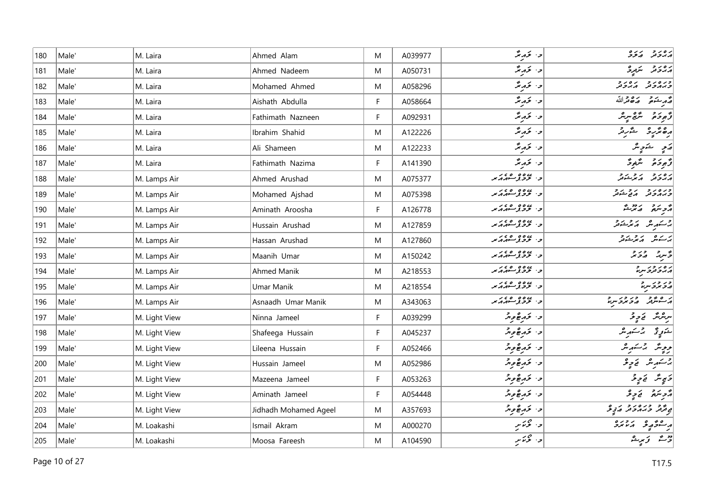| 180 | Male' | M. Laira      | Ahmed Alam            | M | A039977 | و· مَوْرِ بَرُّ                                   | بر و بر د<br>م <i>. ب</i> ر <del>د</del> تر<br>ەردە |
|-----|-------|---------------|-----------------------|---|---------|---------------------------------------------------|-----------------------------------------------------|
| 181 | Male' | M. Laira      | Ahmed Nadeem          | M | A050731 | د· تز <sub>ار</sub> یژ                            | پر ژوئر<br>سردرو                                    |
| 182 | Male' | M. Laira      | Mohamed Ahmed         | M | A058296 | و· مَوْرِسٌ                                       | כנסנכ נסנכ<br>כגמכת הגכת                            |
| 183 | Male' | M. Laira      | Aishath Abdulla       | F | A058664 | و· مَوْرِ بَرُّ                                   | ر<br>د کرم شوځ<br>وكحصقرالله                        |
| 184 | Male' | M. Laira      | Fathimath Nazneen     | F | A092931 | و· مَوْرِ بَرُّ                                   | ىڭرىج سرىكر<br>ۇ بو ئەم                             |
| 185 | Male' | M. Laira      | Ibrahim Shahid        | M | A122226 | ە · غەرىتى                                        | ە ھەترىرى<br>برھەترىرى<br>ڪ مرتر                    |
| 186 | Male' | M. Laira      | Ali Shameen           | M | A122233 | و· مَوْرِ بَرُّ                                   | ړې شوپر                                             |
| 187 | Male' | M. Laira      | Fathimath Nazima      | F | A141390 | و· مَحَمَّد بَرُّ                                 | توجوختمو التمعر                                     |
| 188 | Male' | M. Lamps Air  | Ahmed Arushad         | M | A075377 | ر، روه وروبر<br>د کرد بی سهم تمر                  | رەرە رورى<br>مەرى مەرخى                             |
| 189 | Male' | M. Lamps Air  | Mohamed Ajshad        | M | A075398 | ر روه ورو در در بر<br>د ۱ <b>۰ کرد ب</b> ر کرد کر | ورەرو رورو<br><i>وبرەرەتر م</i> ەقىشەتر             |
| 190 | Male' | M. Lamps Air  | Aminath Aroosha       | F | A126778 | ر، روه وه ورو بر<br>د . موجود شهر کم بر           | أروسي أربيع                                         |
| 191 | Male' | M. Lamps Air  | Hussain Arushad       | M | A127859 | ر، روه وه در در بر<br>د به مرد بور در بر          | رجم مسكور مركز مشكر                                 |
| 192 | Male' | M. Lamps Air  | Hassan Arushad        | M | A127860 | ر، روه وه در در بر<br>د از مرو بول مر             | يەسەش كەيرىشەش                                      |
| 193 | Male' | M. Lamps Air  | Maanih Umar           | M | A150242 | ر، روه وروس<br>د کروبی سود د بر                   | وٌسِرٌ دُونُرُ                                      |
| 194 | Male' | M. Lamps Air  | <b>Ahmed Manik</b>    | M | A218553 | ر، روه وه ورو بر<br>د به موجود شود کريم           | ג פ ג כ ג ג<br>ג ג ב تر ב سر پر                     |
| 195 | Male' | M. Lamps Air  | Umar Manik            | M | A218554 | ر، روه وه در در بر<br>د از مرو بول مر             | כן כן ה<br>נג'ב ייגול                               |
| 196 | Male' | M. Lamps Air  | Asnaadh Umar Manik    | M | A343063 | ر، روه وه در در بر<br>د از مرو بول مر             | ג פישה הגבעית ב                                     |
| 197 | Male' | M. Light View | Ninna Jameel          | F | A039299 | د· ځه څوه                                         | سربگرنگ کے برگر                                     |
| 198 | Male' | M. Light View | Shafeega Hussain      | F | A045237 | و· ځهرهٔ وه                                       | هنوپۇ بار شەر ش                                     |
| 199 | Male' | M. Light View | Lileena Hussain       | F | A052466 | و· ځهرهٔ وه                                       | وویگر الاسکریٹر                                     |
| 200 | Male' | M. Light View | Hussain Jameel        | M | A052986 | و· مؤمر هج و پر                                   | جاسكم سكر المحاج وهي                                |
| 201 | Male' | M. Light View | Mazeena Jameel        | F | A053263 | د· ځهرهٔ وگ                                       | دَ پِر تَوَ دِ                                      |
| 202 | Male' | M. Light View | Aminath Jameel        | F | A054448 | و· ځهرهٔ وه                                       | أأرمز فالمحافية والمحر                              |
| 203 | Male' | M. Light View | Jidhadh Mohamed Ageel | M | A357693 | و· ځهرهٔ وه                                       | ي قرقر وبرە برو كەنچ گ                              |
| 204 | Male' | M. Loakashi   | Ismail Akram          | M | A000270 | اچ- حجمامبر                                       | وكالحرم ومنعر                                       |
| 205 | Male' | M. Loakashi   | Moosa Fareesh         | M | A104590 | د. عي مر                                          | وحرثت توسير يثنو                                    |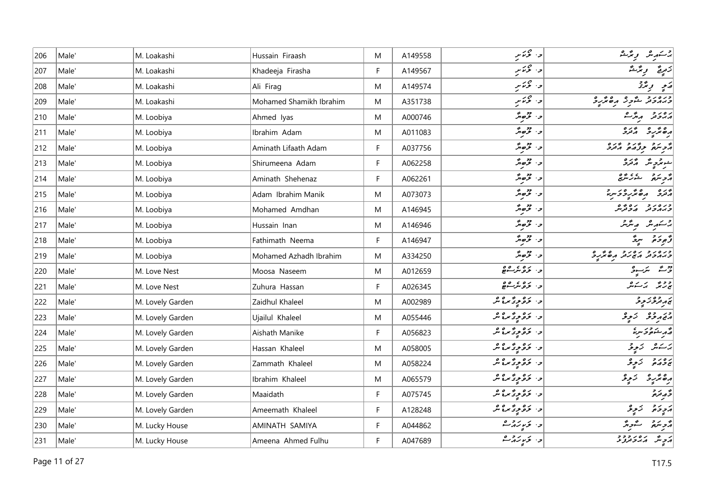| 206 | Male' | M. Loakashi      | Hussain Firaash         | M           | A149558 | د· عجامبر                                   |                                                                              |
|-----|-------|------------------|-------------------------|-------------|---------|---------------------------------------------|------------------------------------------------------------------------------|
| 207 | Male' | M. Loakashi      | Khadeeja Firasha        | F           | A149567 | ه . د کانو                                  | ي <sup>م</sup> كم كريم و تركيف<br>كري <sub>م</sub> ي و تركيف<br>كريم و تركيف |
| 208 | Male' | M. Loakashi      | Ali Firaq               | M           | A149574 | اد بمحمد سر                                 |                                                                              |
| 209 | Male' | M. Loakashi      | Mohamed Shamikh Ibrahim | M           | A351738 | احسقيمتر                                    | ورەرو شور مەھرىر                                                             |
| 210 | Male' | M. Loobiya       | Ahmed lyas              | M           | A000746 | د . ترەپر<br>د .                            | رەر دېرگ                                                                     |
| 211 | Male' | M. Loobiya       | Ibrahim Adam            | M           | A011083 | د . ژەپر                                    | وه پژرو ورود                                                                 |
| 212 | Male' | M. Loobiya       | Aminath Lifaath Adam    | F           | A037756 | د قرەپۇ                                     |                                                                              |
| 213 | Male' | M. Loobiya       | Shirumeena Adam         | F           | A062258 | د . بر هر<br>د . بر                         | الشوير حيد المحكرة.<br>المستوجب المحكرة                                      |
| 214 | Male' | M. Loobiya       | Aminath Shehenaz        | F           | A062261 | و به محرّة گر                               | أو يدو كان وه                                                                |
| 215 | Male' | M. Loobiya       | Adam Ibrahim Manik      | M           | A073073 | د . ژەپر                                    | وره مه وراسم                                                                 |
| 216 | Male' | M. Loobiya       | Mohamed Amdhan          | M           | A146945 | و به محرّ پی                                | ورەرو رەپەە<br><i>جەم</i> ەرتە مەرتىرس                                       |
| 217 | Male' | M. Loobiya       | Hussain Inan            | M           | A146946 | د . ژەپر                                    | يزحكر شهر المحاشر                                                            |
| 218 | Male' | M. Loobiya       | Fathimath Neema         | F           | A146947 | و به محر په ک                               | وٌودَهُ سِدٌ                                                                 |
| 219 | Male' | M. Loobiya       | Mohamed Azhadh Ibrahim  | M           | A334250 | د . توھ <i>ي</i> ر                          |                                                                              |
| 220 | Male' | M. Love Nest     | Moosa Naseem            | M           | A012659 | و٠ كۇ ئۇسىر ئۇ ئ                            | رسم الكراسور<br>مراجع                                                        |
| 221 | Male' | M. Love Nest     | Zuhura Hassan           | F           | A026345 | و٠ كۇڭ ئار قىق                              | چرچو پر سکھل                                                                 |
| 222 | Male' | M. Lovely Garden | Zaidhul Khaleel         | M           | A002989 | د· ئۇۋم <sub>ۇ</sub> يۇنى <sub>د</sub> ۇنىر | ئەر تر ۋىز پە تە                                                             |
| 223 | Male' | M. Lovely Garden | Ujailul Khaleel         | M           | A055446 | د . ئۇۋرىچە ئەنگە                           | دي دي دي دي                                                                  |
| 224 | Male' | M. Lovely Garden | Aishath Manike          | $\mathsf F$ | A056823 | د . ئۇۋىز ئەرەبىر                           | و مرکز دیگر<br>در شکوی سرند                                                  |
| 225 | Male' | M. Lovely Garden | Hassan Khaleel          | M           | A058005 | د . ئۇۋى <sub>چ</sub> ىگىرى بىر             | پرستش انزیابی                                                                |
| 226 | Male' | M. Lovely Garden | Zammath Khaleel         | M           | A058224 | د . ئۇۋېرىگەنگەنگە                          | رەرد ئې <b>رو</b>                                                            |
| 227 | Male' | M. Lovely Garden | Ibrahim Khaleel         | M           | A065579 | د كوگور مورد كرد.<br>د كوگورد كرد كرد       | ەرھ ئ <sup>ۆ</sup> ر ۋ<br>تزبونو                                             |
| 228 | Male' | M. Lovely Garden | Maaidath                | $\mathsf F$ | A075745 | د . ئۇۋىز ئەرە بار                          | تۇمەترە <mark>ر</mark><br>ت                                                  |
| 229 | Male' | M. Lovely Garden | Ameemath Khaleel        | $\mathsf F$ | A128248 | د . ئۇۋمۇتمىيە بىر                          | ړې ده دي                                                                     |
| 230 | Male' | M. Lucky House   | AMINATH SAMIYA          | F           | A044862 | د . ئ <i>ۇيار ج</i> مىشە                    | أأرمنهم<br>ستمريز                                                            |
| 231 | Male' | M. Lucky House   | Ameena Ahmed Fulhu      | F           | A047689 | ار. ئەربەر ق                                | ر په در دورو                                                                 |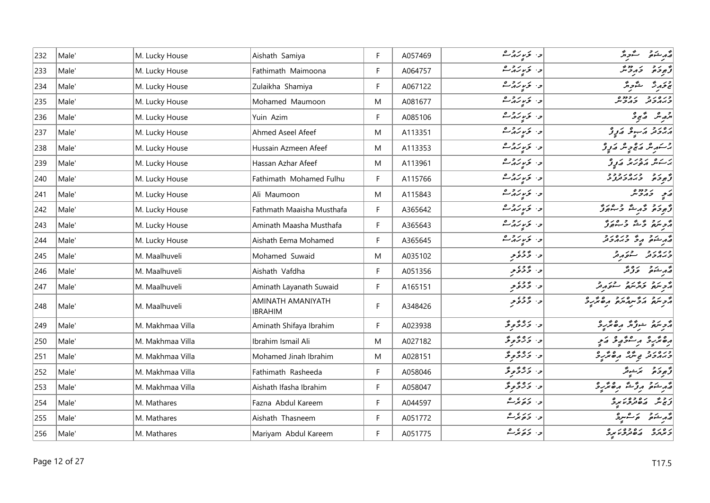| 232 | Male' | M. Lucky House   | Aishath Samiya                             | F         | A057469 | د· ئۇرىر ئەرقىسە                            | أقهر مشوقه ومستحرقه                        |
|-----|-------|------------------|--------------------------------------------|-----------|---------|---------------------------------------------|--------------------------------------------|
| 233 | Male' | M. Lucky House   | Fathimath Maimoona                         | F         | A064757 | د · ئۇرىر <i>ئەڭ</i>                        | وتموختم خددهم                              |
| 234 | Male' | M. Lucky House   | Zulaikha Shamiya                           | F         | A067122 | د · <sub>م</sub> وَرٍ رَبِّر <sup>م</sup> ُ | ج تحمد شخص الشرور                          |
| 235 | Male' | M. Lucky House   | Mohamed Maumoon                            | M         | A081677 | د · ئۇرىر <i>ئەڭ</i>                        | و ره ر د<br><i>و پر</i> پر تر<br>ىر د دو ھ |
| 236 | Male' | M. Lucky House   | Yuin Azim                                  | F         | A085106 | د · ئۇرىر ئەرقىسە                           | أتزميش وحميى                               |
| 237 | Male' | M. Lucky House   | Ahmed Aseel Afeef                          | ${\sf M}$ | A113351 | د · ئۇرىر <i>مەش</i>                        | גַפְגַר ג´ הְכָר בְנֶל                     |
| 238 | Male' | M. Lucky House   | Hussain Azmeen Afeef                       | M         | A113353 | د · <sub>م</sub> وَر مَدْرٌ مـْ             | چە سەر سى ئەھ چە سى ئەر بۇ ئى              |
| 239 | Male' | M. Lucky House   | Hassan Azhar Afeef                         | M         | A113961 | د · ئۇرىر ئەرقىسە                           | يە يەم ئەۋرىر ئەرو                         |
| 240 | Male' | M. Lucky House   | Fathimath Mohamed Fulhu                    | F         | A115766 | د · ئۇرىر ئەرقىسە                           | و در دره درود<br>د گوره د بر درون          |
| 241 | Male' | M. Lucky House   | Ali Maumoon                                | M         | A115843 | د · ئۇرىر ئەرقىسە                           | أمجمع المردوح مر                           |
| 242 | Male' | M. Lucky House   | Fathmath Maaisha Musthafa                  | F         | A365642 |                                             | ژوده ژرېځ د جوړ                            |
| 243 | Male' | M. Lucky House   | Aminath Maasha Musthafa                    | F         | A365643 | د · ئۇرىر ئەرقىسە                           | أأدمره أوالأمراء وأواد                     |
| 244 | Male' | M. Lucky House   | Aishath Eema Mohamed                       | F         | A365645 | د · ئۇرىر ئەرقىسە                           | م المستوفر المرد و المستحدة                |
| 245 | Male' | M. Maalhuveli    | Mohamed Suwaid                             | M         | A035102 | د به وه د کار د کار د استان باشد.<br>مراجع  | ورەرو دەرو                                 |
| 246 | Male' | M. Maalhuveli    | Aishath Vafdha                             | F         | A051356 | <sub>و</sub> ، ۇر <sub>ەك</sub> ر           | وكرمشكم ووفر                               |
| 247 | Male' | M. Maalhuveli    | Aminath Layanath Suwaid                    | F         | A165151 | د· دَ ژوَر                                  | أأدمره كالأسماء فستحارض                    |
| 248 | Male' | M. Maalhuveli    | <b>AMINATH AMANIYATH</b><br><b>IBRAHIM</b> | F         | A348426 | <mark>ى ئۇتۇم</mark> ر                      | أأدينه أذأ سامه وهندد                      |
| 249 | Male' | M. Makhmaa Villa | Aminath Shifaya Ibrahim                    | F         | A023938 | <sub>و: خ</sub> ژۇ <sub>ئو</sub> ۇ          | ړٌ د سَمَعٌ شورٌ پره مُدَرِ د              |
| 250 | Male' | M. Makhmaa Villa | Ibrahim Ismail Ali                         | ${\sf M}$ | A027182 | ە بەر ئەر ئە                                | ړەترېرو بر جۇړي كړ                         |
| 251 | Male' | M. Makhmaa Villa | Mohamed Jinah Ibrahim                      | ${\sf M}$ | A028151 | د. دَرْدَّوِرَّ                             | כנסני ב ייתר תסתנים                        |
| 252 | Male' | M. Makhmaa Villa | Fathimath Rasheeda                         | F         | A058046 | د کارگاه د گاه<br>  د کارگاه کارگاه         | أراقوخا فالمتحفظة                          |
| 253 | Male' | M. Makhmaa Villa | Aishath Ifasha Ibrahim                     | F         | A058047 | [د - دَرْدَّوِدَّ                           |                                            |
| 254 | Male' | M. Mathares      | Fazna Abdul Kareem                         | F         | A044597 | د که در پاک                                 | ر دیگر در ۲۵۶۵ مرد                         |
| 255 | Male' | M. Mathares      | Aishath Thasneem                           | F         | A051772 | د که در پاک                                 | أورشوه وكسرو                               |
| 256 | Male' | M. Mathares      | Mariyam Abdul Kareem                       | F         | A051775 | و٠ وەپرىي                                   | ג פגם גם בסגם.<br>כמתב השנת בעיק           |
|     |       |                  |                                            |           |         |                                             |                                            |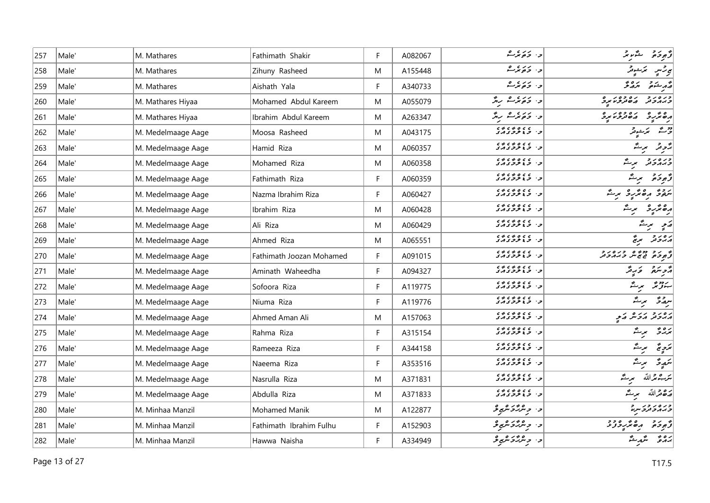| 257 | Male' | M. Mathares        | Fathimath Shakir         | F           | A082067 | د . زړه پر ه                                                                                         | ا توج د حر<br>ا<br>شەر بر                                        |
|-----|-------|--------------------|--------------------------|-------------|---------|------------------------------------------------------------------------------------------------------|------------------------------------------------------------------|
| 258 | Male' | M. Mathares        | Zihuny Rasheed           | M           | A155448 | ى ئەسىمەت<br>مەسىرىسى                                                                                | ېږ ژ <sub>سپ</sub><br>بخرشوقر                                    |
| 259 | Male' | M. Mathares        | Aishath Yala             | F           | A340733 | د · پر دې په م                                                                                       | برە بو<br>پە<br>مەم شىم                                          |
| 260 | Male' | M. Mathares Hiyaa  | Mohamed Abdul Kareem     | M           | A055079 | و، دەپرىش رېژ                                                                                        | و ر ه ر و<br>د بر پر تر<br>ر ه و ه ر ره<br>پره تر تر <i>با</i> ر |
| 261 | Male' | M. Mathares Hiyaa  | Ibrahim Abdul Kareem     | M           | A263347 | وسروه برگر دیگر                                                                                      | ر ه و ه ر ر ه<br>پره تر تر <i>با</i> تر                          |
| 262 | Male' | M. Medelmaage Aage | Moosa Rasheed            | M           | A043175 | $\begin{array}{cc} 0 & 0 & 0 & 0 & 0 \\ 0 & 0 & 0 & 0 \\ 0 & 0 & 0 & 0 \end{array}$                  | رەت ئۆسىدىگە                                                     |
| 263 | Male' | M. Medelmaage Aage | Hamid Riza               | M           | A060357 | c s c s o c c<br>5 A 5 5 F 5 - 5                                                                     | رٌوتر الربُّ                                                     |
| 264 | Male' | M. Medelmaage Aage | Mohamed Riza             | M           | A060358 | c s c s o c c<br>5 A 5 5 7 2 7 - 7                                                                   | و ر ه ر د<br>تر پر تر تر<br>ىرىگە                                |
| 265 | Male' | M. Medelmaage Aage | Fathimath Riza           | F           | A060359 | c s c s o c c<br>5 A 5 5 F 5 - 5                                                                     | قُرْجُوحَةً مِنْ يَسْتَدِ                                        |
| 266 | Male' | M. Medelmaage Aage | Nazma Ibrahim Riza       | F           | A060427 | cscsocc<br>sas32 r 3 · 3                                                                             |                                                                  |
| 267 | Male' | M. Medelmaage Aage | Ibrahim Riza             | M           | A060428 | $\begin{array}{cc} 0 & 0 & 0 & 0 & 0 \\ 0 & 0 & 0 & 0 \\ 0 & 0 & 0 & 0 \\ 0 & 0 & 0 & 0 \end{array}$ | ە ھەترىرى<br>برھەترىرى<br>ىرىگە                                  |
| 268 | Male' | M. Medelmaage Aage | Ali Riza                 | M           | A060429 | $\begin{array}{cc} 0 & 0 & 0 & 0 & 0 \\ 0 & 0 & 0 & 0 \\ 0 & 0 & 0 & 0 \end{array}$                  | أركمني المحرسية                                                  |
| 269 | Male' | M. Medelmaage Aage | Ahmed Riza               | M           | A065551 | c s c s o c c<br>5 A 5 5 <del>2</del> 2 5 ° 5                                                        | رەر دىر                                                          |
| 270 | Male' | M. Medelmaage Aage | Fathimath Joozan Mohamed | $\mathsf F$ | A091015 | c s c s o c c<br>5 A 5 5 F 5 - 5                                                                     | ם גב חברים בגםגב<br>צ'תְּבִם בַּאַית בגורבת                      |
| 271 | Male' | M. Medelmaage Aage | Aminath Waheedha         | F.          | A094327 | c s c s o c c<br>5 A 5 P F P $\cdot$ P                                                               | أترجر ستعجز وتحرير فتر                                           |
| 272 | Male' | M. Medelmaage Aage | Sofoora Riza             | F           | A119775 | c s c s o c c<br>5 A 5 5 F 5 - 5                                                                     | ىر دەپر<br>سىزىر<br>برىگە                                        |
| 273 | Male' | M. Medelmaage Aage | Niuma Riza               | E           | A119776 | c s c s o c c<br>5 A 5 A <del>2</del> A 2                                                            | سرچينې سرچينې                                                    |
| 274 | Male' | M. Medelmaage Aage | Ahmed Aman Ali           | M           | A157063 | c s c s o c c<br>5 A 5 5 F 5 - 5                                                                     | رەر دىرە كەر                                                     |
| 275 | Male' | M. Medelmaage Aage | Rahma Riza               | F           | A315154 |                                                                                                      | رە بەر مەن<br>بويرى بەرسىگە                                      |
| 276 | Male' | M. Medelmaage Aage | Rameeza Riza             | F           | A344158 | $\begin{array}{cc} 1 & 0 & 0 & 0 & 0 \\ 0 & 0 & 0 & 0 & 0 \\ 0 & 0 & 0 & 0 & 0 \end{array}$          | بَرْدِجٌ<br>ىرىد                                                 |
| 277 | Male' | M. Medelmaage Aage | Naeema Riza              | F           | A353516 | c s c s o c c<br>5 A 5 A <del>5</del> A 5                                                            | سَمِيرةُ<br>برتگه                                                |
| 278 | Male' | M. Medelmaage Aage | Nasrulla Riza            | M           | A371831 | c s c s o c c<br>5 A 5 5 F 5 - 5                                                                     | بتربيع ترالله<br>سمرت                                            |
| 279 | Male' | M. Medelmaage Aage | Abdulla Riza             | M           | A371833 | $\begin{array}{cc} 0 & 0 & 0 & 0 & 0 \\ 0 & 0 & 0 & 0 \\ 0 & 0 & 0 & 0 \end{array}$                  | صصرالله<br>ىرىگە                                                 |
| 280 | Male' | M. Minhaa Manzil   | <b>Mohamed Manik</b>     | M           | A122877 | و٠ وِ ب <i>رگرد بر</i> يو و                                                                          | כ גם ג כ ג<br><i>ה ג</i> וג <i>ב ن</i> ر <i>ב س</i> ر <i>גا</i>  |
| 281 | Male' | M. Minhaa Manzil   | Fathimath Ibrahim Fulhu  | F           | A152903 | د· ڊسرگرد شيو و                                                                                      | و څو څه د<br>ە ئە ئەرەپ<br>مەھەرىرى ب                            |
| 282 | Male' | M. Minhaa Manzil   | Hawwa Naisha             | F           | A334949 | و٠ و سرگرو سرچ و                                                                                     | برەپچ<br>سترمشه                                                  |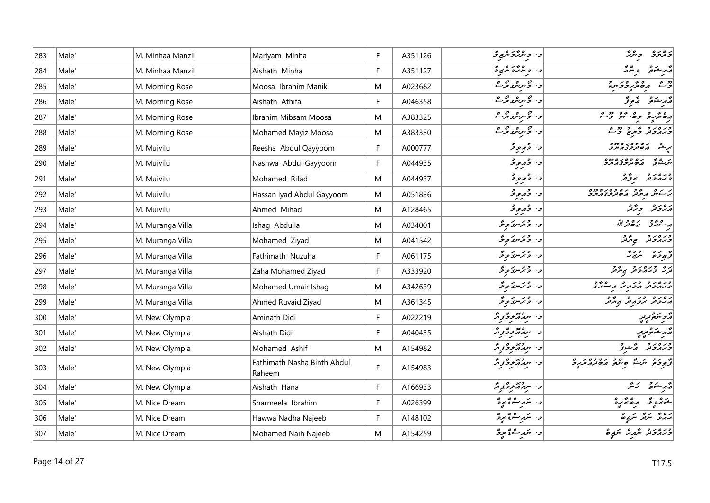| 283 | Male' | M. Minhaa Manzil | Mariyam Minha                         | F  | A351126 | د . د پرترکریږي له                | حە ئىرگە<br>ر ه ر ه<br>د بربرگ                                                                                                                        |
|-----|-------|------------------|---------------------------------------|----|---------|-----------------------------------|-------------------------------------------------------------------------------------------------------------------------------------------------------|
| 284 | Male' | M. Minhaa Manzil | Aishath Minha                         | F. | A351127 | د . د پرترکریږي له                | وكرمشكو                                                                                                                                               |
| 285 | Male' | M. Morning Rose  | Moosa Ibrahim Manik                   | M  | A023682 | و. گەس سى ئەرگ                    | وحر محر                                                                                                                                               |
| 286 | Male' | M. Morning Rose  | Aishath Athifa                        | F. | A046358 | و. ۇسىر ئىرىگە                    | أمر المستوفر المتجوز                                                                                                                                  |
| 287 | Male' | M. Morning Rose  | Ibrahim Mibsam Moosa                  | M  | A383325 | و. ۇسرىئرىرىمى                    | ړه پرېږ د ه ده د د                                                                                                                                    |
| 288 | Male' | M. Morning Rose  | Mohamed Mayiz Moosa                   | M  | A383330 | و. ۇسىر ئىرىگە                    | כמהכני כותב כי                                                                                                                                        |
| 289 | Male' | M. Muivilu       | Reesha Abdul Qayyoom                  | F. | A000777 | و· دېږونو                         | بوستگر                                                                                                                                                |
| 290 | Male' | M. Muivilu       | Nashwa Abdul Gayyoom                  | F. | A044935 | د . د ورو د<br>ر                  | ر ۵ ۶ و ۵ ر ۵ وو ۵<br>هر هو مور تر در بر<br>سَرَشْوَحَ                                                                                                |
| 291 | Male' | M. Muivilu       | Mohamed Rifad                         | M  | A044937 | د . د ورو د<br>ر                  | ورەر ئەرگە                                                                                                                                            |
| 292 | Male' | M. Muivilu       | Hassan Iyad Abdul Gayyoom             | M  | A051836 | و. دُرود                          | ر کره مرد ده ده ده ده<br>ر کره مرد ماه در در                                                                                                          |
| 293 | Male' | M. Muivilu       | Ahmed Mihad                           | M  | A128465 | د . د ورو د<br>ر                  | رەر درگو                                                                                                                                              |
| 294 | Male' | M. Muranga Villa | Ishaq Abdulla                         | M  | A034001 | و . ئەتمەسمەتونۇ                  | م مثل مگانگه                                                                                                                                          |
| 295 | Male' | M. Muranga Villa | Mohamed Ziyad                         | M  | A041542 | د· ئەنگەسلەر ئىگە                 | כי סי כ<br>  כי החי כי האי <sub>מ</sub> בל                                                                                                            |
| 296 | Male' | M. Muranga Villa | Fathimath Nuzuha                      | F  | A061175 | و . ئەتمەسمەتونۇ                  | و و دو دور                                                                                                                                            |
| 297 | Male' | M. Muranga Villa | Zaha Mohamed Ziyad                    | F  | A333920 | و· ئەنگەسلەپ ئى                   | ر و دره د و د و<br><mark>نرگ وبرمروند ب</mark> رمزند                                                                                                  |
| 298 | Male' | M. Muranga Villa | Mohamed Umair Ishag                   | M  | A342639 | و٠ وتمرّسوَي وَ                   | כמחכת חכתיל תייחילי                                                                                                                                   |
| 299 | Male' | M. Muranga Villa | Ahmed Ruvaid Ziyad                    | M  | A361345 | <sub>و:</sub> ئەئمەسمۇمۇ          | أزود و و در پروگر                                                                                                                                     |
| 300 | Male' | M. New Olympia   | Aminath Didi                          | F. | A022219 | د· سرم مرد و و مر                 | ا گرم سرچ <sub>فر</sub> و <sub>ر</sub>                                                                                                                |
| 301 | Male' | M. New Olympia   | Aishath Didi                          | F. | A040435 | - سرمد و و و مر                   | ا په مرکب د مختلف کې د کليمونو لري.<br>مرکب کو سیمونو کلیمونو کلیمونو کلیمونو کلیمونو کلیمونو کلیمونو کلیمونو کلیمونو کلیمونو کلیمونو کلیمون کلیمون ک |
| 302 | Male' | M. New Olympia   | Mohamed Ashif                         | M  | A154982 | و سرمد وو و م                     | وره د و گردو<br><i>د بر د د</i> گردو                                                                                                                  |
| 303 | Male' | M. New Olympia   | Fathimath Nasha Binth Abdul<br>Raheem | F  | A154983 | د. سرمامبرد و و پر                | د د د د شو مور ده ده د د ه                                                                                                                            |
| 304 | Male' | M. New Olympia   | Aishath Hana                          | F  | A166933 | בי ייתג'ו ביציר הי                | أقهر شدة كالكر                                                                                                                                        |
| 305 | Male' | M. Nice Dream    | Sharmeela Ibrahim                     | F  | A026399 | د . سکه مشور و .<br>مسلم مشور شور | خنرويۇ بەھترىرى                                                                                                                                       |
| 306 | Male' | M. Nice Dream    | Hawwa Nadha Najeeb                    | F. | A148102 | د· سَمَدِ شَوْءٍ بِرِدْ           | پره ده سرچر سرچ ه                                                                                                                                     |
| 307 | Male' | M. Nice Dream    | Mohamed Naih Najeeb                   | M  | A154259 |                                   | ورەرو شرو شھرہ                                                                                                                                        |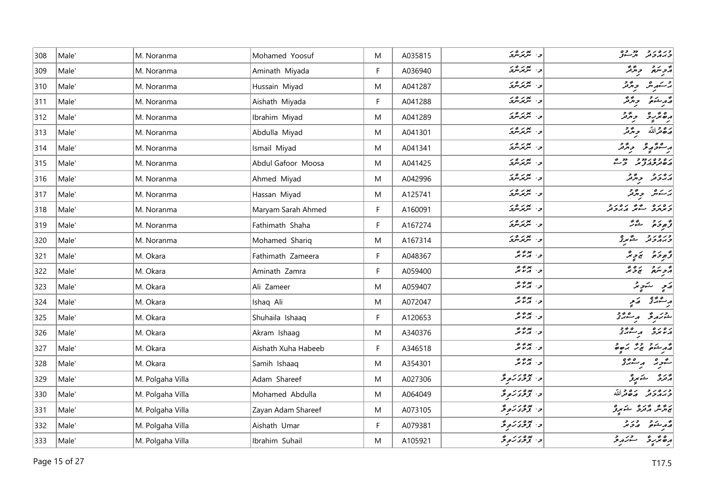| 308 | Male' | M. Noranma       | Mohamed Yoosuf      | M         | A035815 | د. سرپرسری                 | כנים ניבר כם<br>כגובביה וקר-ית  |
|-----|-------|------------------|---------------------|-----------|---------|----------------------------|---------------------------------|
| 309 | Male' | M. Noranma       | Aminath Miyada      | F.        | A036940 | د . نیویر وړ               | أزويتم وارتكر                   |
| 310 | Male' | M. Noranma       | Hussain Miyad       | M         | A041287 | و. هر پر وړ                | برستهر شرور والرقر              |
| 311 | Male' | M. Noranma       | Aishath Miyada      | F         | A041288 | د . مربر در                | وكرمشكم وتركر                   |
| 312 | Male' | M. Noranma       | Ibrahim Miyad       | M         | A041289 | د . مربر در                | ەھ ئەرە بەر<br>مەھ ئەرە         |
| 313 | Male' | M. Noranma       | Abdulla Miyad       | M         | A041301 | و . میربر دیر              | برة قرالله حرمزمر               |
| 314 | Male' | M. Noranma       | Ismail Miyad        | M         | A041341 | د. هر د در                 | وڪوڻو وڏھ                       |
| 315 | Male' | M. Noranma       | Abdul Gafoor Moosa  | M         | A041425 | د . نیویر وړ               | נס כסנמכר מי                    |
| 316 | Male' | M. Noranma       | Ahmed Miyad         | M         | A042996 | د . نیویر وړ               | د ه د چه د پروتر                |
| 317 | Male' | M. Noranma       | Hassan Miyad        | M         | A125741 | د . میر پره ر              | يركسكر ويركز                    |
| 318 | Male' | M. Noranma       | Maryam Sarah Ahmed  | F         | A160091 | د . مربر در                | رەرە ئەي رەرد                   |
| 319 | Male' | M. Noranma       | Fathimath Shaha     | F         | A167274 | د . مربر در                | قرم در مشر                      |
| 320 | Male' | M. Noranma       | Mohamed Shariq      | M         | A167314 | د . مربر در                | ورەرو ئەرە                      |
| 321 | Male' | M. Okara         | Fathimath Zameera   | F         | A048367 | ر سوريم                    | توجوختم تجاحياته                |
| 322 | Male' | M. Okara         | Aminath Zamra       | F.        | A059400 | ە بىر ئىمەتتە              | $\frac{201}{256}$ $\frac{2}{3}$ |
| 323 | Male' | M. Okara         | Ali Zameer          | ${\sf M}$ | A059407 | ى سىمىتىگە                 | أوكمني المستوجر                 |
| 324 | Male' | M. Okara         | Ishaq Ali           | M         | A072047 | ە بىر ئىمەتتە              | ر ه په په کام                   |
| 325 | Male' | M. Okara         | Shuhaila Ishaaq     | F         | A120653 | ە بىر ئەتر                 | لمشتركه فخر المراجع             |
| 326 | Male' | M. Okara         | Akram Ishaaq        | M         | A340376 | ە بىر ئىمەتتە              |                                 |
| 327 | Male' | M. Okara         | Aishath Xuha Habeeb | F         | A346518 | ە بىر ئىمەتتە              |                                 |
| 328 | Male' | M. Okara         | Samih Ishaaq        | M         | A354301 | د به پنې                   | كشور ويسترة                     |
| 329 | Male' | M. Polgaha Villa | Adam Shareef        | M         | A027306 | ى بوەرىرە بۇ               | أوره ختمرتى                     |
| 330 | Male' | M. Polgaha Villa | Mohamed Abdulla     | M         | A064049 | <sub>و: ن</sub> وورى و څ   | وره رو ده دالله                 |
| 331 | Male' | M. Polgaha Villa | Zayan Adam Shareef  | M         | A073105 | د بيوه بررو ب <del>ح</del> | پر مه مه پر ده استانبر و        |
| 332 | Male' | M. Polgaha Villa | Aishath Umar        | F         | A079381 | <sub>و: ن</sub> وورىرو ژ   | $777$ $247$                     |
| 333 | Male' | M. Polgaha Villa | Ibrahim Suhail      | M         | A105921 | د به پورتر <i>ه د</i> گ    | رەنزىرو سىزىرو                  |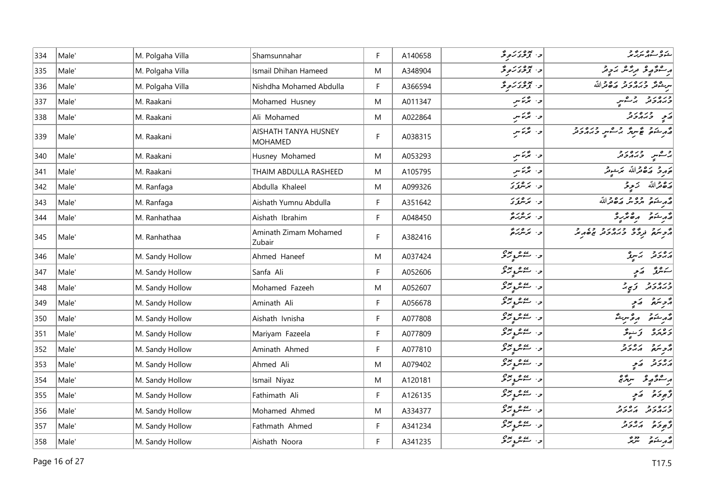| 334 | Male' | M. Polgaha Villa | Shamsunnahar                           | F  | A140658 | وسپیموتر ترعری                           | شەھ رەھ برىز چ                                   |
|-----|-------|------------------|----------------------------------------|----|---------|------------------------------------------|--------------------------------------------------|
| 335 | Male' | M. Polgaha Villa | Ismail Dhihan Hameed                   | M  | A348904 | <sub>و</sub> . بودر ر <sub>و</sub> وً    | ړ هڅوړی مرته ترومز                               |
| 336 | Male' | M. Polgaha Villa | Nishdha Mohamed Abdulla                | F. | A366594 | <sub>و: ن</sub> وورىرو ژ                 | سرعونه ورورو رووالله                             |
| 337 | Male' | M. Raakani       | Mohamed Husney                         | M  | A011347 | ح• مُرَكَمَ مَس                          | ورەرو جىمسى                                      |
| 338 | Male' | M. Raakani       | Ali Mohamed                            | M  | A022864 | <br> حسنتمنوسر                           | أمجمع وره رو                                     |
| 339 | Male' | M. Raakani       | AISHATH TANYA HUSNEY<br><b>MOHAMED</b> | F  | A038315 | —<br> ح• مُحمَّدَ مير                    | ה היה שיתה הלית כנסיד                            |
| 340 | Male' | M. Raakani       | Husney Mohamed                         | M  | A053293 | <br> حسنتم تم تكسير                      | 2 موسى 2019 دو                                   |
| 341 | Male' | M. Raakani       | THAIM ABDULLA RASHEED                  | M  | A105795 | - مَدَّمَسِ                              | مجردة مكاميلله متشومه                            |
| 342 | Male' | M. Ranfaga       | Abdulla Khaleel                        | M  | A099326 | وستره ورز                                | 5% اللّه ترجيحه                                  |
| 343 | Male' | M. Ranfaga       | Aishath Yumnu Abdulla                  | F  | A351642 | و- ئۇشۇڭ                                 | م مشوم مرحمد مقدالله                             |
| 344 | Male' | M. Ranhathaa     | Aishath Ibrahim                        | F  | A048450 | و . بر در د                              | مەستىم مەمگرى                                    |
| 345 | Male' | M. Ranhathaa     | Aminath Zimam Mohamed<br>Zubair        | F  | A382416 | و . نرمزره<br>و . نرمزره                 |                                                  |
| 346 | Male' | M. Sandy Hollow  | Ahmed Haneef                           | M  | A037424 | د. ڪئيندي محرمي                          | دەر ج برس                                        |
| 347 | Male' | M. Sandy Hollow  | Sanfa Ali                              | F  | A052606 | د . ڪشي پيرچ<br>م                        | ستعتلى الأمج                                     |
| 348 | Male' | M. Sandy Hollow  | Mohamed Fazeeh                         | M  | A052607 | ى ئىشق <sub>ىي</sub> بىرى<br>مەستەمىرىيە | وره رو کریم ج                                    |
| 349 | Male' | M. Sandy Hollow  | Aminath Ali                            | F  | A056678 | ى سەھىيە <i>بىرى</i>                     | أأترسم أأأتمج                                    |
| 350 | Male' | M. Sandy Hollow  | Aishath Ivnisha                        | F  | A077808 | د . ڪئي پيرچ<br>م                        |                                                  |
| 351 | Male' | M. Sandy Hollow  | Mariyam Fazeela                        | F  | A077809 | د . ستوريخ ربحو                          | ر ه ر ه<br><del>ر</del> بر بر ژ<br>تى سىپەنتى    |
| 352 | Male' | M. Sandy Hollow  | Aminath Ahmed                          | F  | A077810 | د . ستامبر و میزد<br>د . ستامبر و میز    | پروژبر<br>أثر حريره                              |
| 353 | Male' | M. Sandy Hollow  | Ahmed Ali                              | M  | A079402 | ى ئىشق <sub>ىي</sub> بىرى<br>مەستەمىرىيە | برە رىپى كەبى                                    |
| 354 | Male' | M. Sandy Hollow  | Ismail Niyaz                           | M  | A120181 | ى ئەش <sub>ىۋ</sub> رىۋ                  | أبر ستتحرير ومسترجي                              |
| 355 | Male' | M. Sandy Hollow  | Fathimath Ali                          | F  | A126135 | د . ڪنگري پيرم<br>م                      | ومجموحه المتعج                                   |
| 356 | Male' | M. Sandy Hollow  | Mohamed Ahmed                          | M  | A334377 | ى سەھىيە <i>بىرى</i>                     | ورەر دەرد<br><i>دىد</i> ەردى <sub>ر</sub> مەردىر |
| 357 | Male' | M. Sandy Hollow  | Fathmath Ahmed                         | F  | A341234 | د . ڪئي پيرچ<br>م                        | و ده پره ده د                                    |
| 358 | Male' | M. Sandy Hollow  | Aishath Noora                          | F. | A341235 | ى سەھىيە <i>بىرە</i>                     | و در دور<br>مارستومی سرچر                        |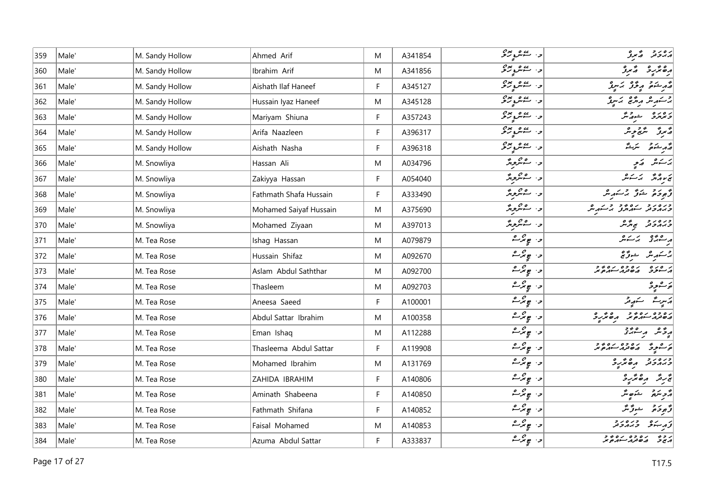| 359 | Male' | M. Sandy Hollow | Ahmed Arif             | M | A341854 | د. ڪئيندي محرمي                                                                                                                                                                                                                                                                                                                                                                                                                                             | برەر ئە ئەر                                          |
|-----|-------|-----------------|------------------------|---|---------|-------------------------------------------------------------------------------------------------------------------------------------------------------------------------------------------------------------------------------------------------------------------------------------------------------------------------------------------------------------------------------------------------------------------------------------------------------------|------------------------------------------------------|
| 360 | Male' | M. Sandy Hollow | Ibrahim Arif           | M | A341856 | <sub>ح</sub> . ڪ <sub>ئ</sub> نگر <sub>و</sub> بيزي                                                                                                                                                                                                                                                                                                                                                                                                         |                                                      |
| 361 | Male' | M. Sandy Hollow | Aishath Ilaf Haneef    | F | A345127 | د . سيمبر ميزم .<br>مستور بر د                                                                                                                                                                                                                                                                                                                                                                                                                              | ره بره و بره<br>ره بررد و برر<br>په شوه پروژ برس     |
| 362 | Male' | M. Sandy Hollow | Hussain Iyaz Haneef    | M | A345128 | ل عده بره بره<br>اح                                                                                                                                                                                                                                                                                                                                                                                                                                         |                                                      |
| 363 | Male' | M. Sandy Hollow | Mariyam Shiuna         | F | A357243 | د . سىشى بىرى<br>د . سىشى بىر                                                                                                                                                                                                                                                                                                                                                                                                                               | رەرە خەرش                                            |
| 364 | Male' | M. Sandy Hollow | Arifa Naazleen         | F | A396317 | د. ڪشوريو                                                                                                                                                                                                                                                                                                                                                                                                                                                   | أشبرة الشيخ يرمثر                                    |
| 365 | Male' | M. Sandy Hollow | Aishath Nasha          | F | A396318 | د . ڪئي هيچ ميزم<br>د . ڪئي هيچ ميزمو                                                                                                                                                                                                                                                                                                                                                                                                                       | و د ده کرد که<br>د کار شوه کرد ک                     |
| 366 | Male' | M. Snowliya     | Hassan Ali             | M | A034796 | ار. ڪشعبر                                                                                                                                                                                                                                                                                                                                                                                                                                                   | تاسكىش كەيچ                                          |
| 367 | Male' | M. Snowliya     | Zakiyya Hassan         | F | A054040 | د. ڪشھرمر                                                                                                                                                                                                                                                                                                                                                                                                                                                   |                                                      |
| 368 | Male' | M. Snowliya     | Fathmath Shafa Hussain | F | A333490 | <sub>و</sub> . س <sup>و</sup> متر <sub>م</sub> ر                                                                                                                                                                                                                                                                                                                                                                                                            | ژُودَه شرَ ژَــَه ش                                  |
| 369 | Male' | M. Snowliya     | Mohamed Saiyaf Hussain | M | A375690 | د . سگهروردگر                                                                                                                                                                                                                                                                                                                                                                                                                                               | כנסור נספר באתית                                     |
| 370 | Male' | M. Snowliya     | Mohamed Ziyaan         | M | A397013 | و. ڪسرچيز                                                                                                                                                                                                                                                                                                                                                                                                                                                   | כנסגב<br>כממכת <sub>מ</sub> מלית                     |
| 371 | Male' | M. Tea Rose     | Ishag Hassan           | M | A079879 | د. ۾ پڙے                                                                                                                                                                                                                                                                                                                                                                                                                                                    | ما شهري الاستانتر                                    |
| 372 | Male' | M. Tea Rose     | Hussain Shifaz         | M | A092670 | د. ڇِگرٿ                                                                                                                                                                                                                                                                                                                                                                                                                                                    | چرىكىرىش ھوۋىچ                                       |
| 373 | Male' | M. Tea Rose     | Aslam Abdul Saththar   | M | A092700 | د. ڇِگرٿ                                                                                                                                                                                                                                                                                                                                                                                                                                                    | ر ه ره دره ده در در<br>در سوتر در هاندر سوره د       |
| 374 | Male' | M. Tea Rose     | Thasleem               | M | A092703 | <sub>و</sub> . ی <sub>و</sub> یر م                                                                                                                                                                                                                                                                                                                                                                                                                          | ۇسۇرۇ                                                |
| 375 | Male' | M. Tea Rose     | Aneesa Saeed           | F | A100001 | د. ڇِرُبُ                                                                                                                                                                                                                                                                                                                                                                                                                                                   | ر<br>رئيس سنور                                       |
| 376 | Male' | M. Tea Rose     | Abdul Sattar Ibrahim   | M | A100358 | <sub>و</sub> . پوپرے                                                                                                                                                                                                                                                                                                                                                                                                                                        |                                                      |
| 377 | Male' | M. Tea Rose     | Eman Ishaq             | M | A112288 | $\begin{bmatrix} 0 & \mathcal{C} & \mathcal{C} & \mathcal{C} & \mathcal{C} & \mathcal{C} & \mathcal{C} & \mathcal{C} & \mathcal{C} & \mathcal{C} & \mathcal{C} & \mathcal{C} & \mathcal{C} & \mathcal{C} & \mathcal{C} & \mathcal{C} & \mathcal{C} & \mathcal{C} & \mathcal{C} & \mathcal{C} & \mathcal{C} & \mathcal{C} & \mathcal{C} & \mathcal{C} & \mathcal{C} & \mathcal{C} & \mathcal{C} & \mathcal{C} & \mathcal{C} & \mathcal{C} & \mathcal{C} & \$ | ورځند و جنگتی                                        |
| 378 | Male' | M. Tea Rose     | Thasleema Abdul Sattar | F | A119908 | د. عٍ تُرْبُ                                                                                                                                                                                                                                                                                                                                                                                                                                                | ر ٥ ۶ ٥ ٥ ٠ ٥ ٠<br>پره تر پر سوړنو بر<br>ە ئەسەبەر   |
| 379 | Male' | M. Tea Rose     | Mohamed Ibrahim        | M | A131769 | <sub>و</sub> . پوپر م                                                                                                                                                                                                                                                                                                                                                                                                                                       |                                                      |
| 380 | Male' | M. Tea Rose     | ZAHIDA IBRAHIM         | F | A140806 | 2.2                                                                                                                                                                                                                                                                                                                                                                                                                                                         | تجربقه وكالجربر                                      |
| 381 | Male' | M. Tea Rose     | Aminath Shabeena       | F | A140850 | د. ۾ پڙے                                                                                                                                                                                                                                                                                                                                                                                                                                                    | مزويتنى كمحتويتر                                     |
| 382 | Male' | M. Tea Rose     | Fathmath Shifana       | F | A140852 | د. ڇِرُ گ                                                                                                                                                                                                                                                                                                                                                                                                                                                   | قرجوخا مستقرين                                       |
| 383 | Male' | M. Tea Rose     | Faisal Mohamed         | M | A140853 | د. ڇِرُ گ                                                                                                                                                                                                                                                                                                                                                                                                                                                   | و ره ر و<br><i>و پر</i> و تر<br>ى بە سەنىۋ           |
| 384 | Male' | M. Tea Rose     | Azuma Abdul Sattar     | F | A333837 | د. ڇِرُبُ                                                                                                                                                                                                                                                                                                                                                                                                                                                   | ر و د<br>در بار<br>ره وه رره د و<br>پره توپر شهره بر |
|     |       |                 |                        |   |         |                                                                                                                                                                                                                                                                                                                                                                                                                                                             |                                                      |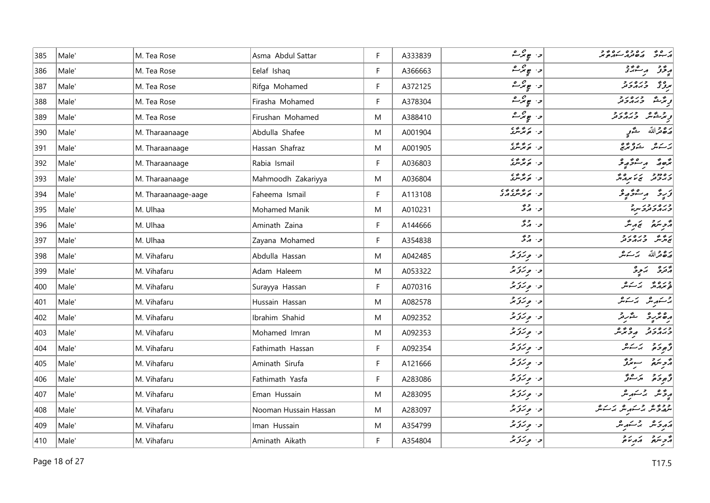| 385 | Male' | M. Tea Rose         | Asma Abdul Sattar     | F.          | A333839 | د. ڇِ تُرُ ٿُ                     | ره وه ره دو<br>پره توپر سوړه پر<br>رزيە ۋ      |
|-----|-------|---------------------|-----------------------|-------------|---------|-----------------------------------|------------------------------------------------|
| 386 | Male' | M. Tea Rose         | Eelaf Ishaq           | F           | A366663 | د. ڇِرُبُ                         | پرځونه پر عبريږ                                |
| 387 | Male' | M. Tea Rose         | Rifga Mohamed         | F           | A372125 | د. ڇِرُبُ                         | ىروگە<br>و ره ر د<br>تر پر ژمر                 |
| 388 | Male' | M. Tea Rose         | Firasha Mohamed       | F           | A378304 | د . جو چر <sub>ے</sub>            | وبرثة<br>و ره ر و<br><i>و ټ</i> رو تر          |
| 389 | Male' | M. Tea Rose         | Firushan Mohamed      | M           | A388410 | د . جو چرگ                        | و در در در در د                                |
| 390 | Male' | M. Tharaanaage      | Abdulla Shafee        | M           | A001904 | و . نو پورې<br>و . نو پرس         | پر <b>چ</b> و اللّه څوړ                        |
| 391 | Male' | M. Tharaanaage      | Hassan Shafraz        | M           | A001905 | ر به نوره د                       | برسەش شەرىرە                                   |
| 392 | Male' | M. Tharaanaage      | Rabia Ismail          | F           | A036803 | ر به نوره د                       | بموثه مستحصفه                                  |
| 393 | Male' | M. Tharaanaage      | Mahmoodh Zakariyya    | M           | A036804 | ر د و بر و و و                    | ג 2000 - גן גם כי                              |
| 394 | Male' | M. Tharaanaage-aage | Faheema Ismail        | F           | A113108 | ر و و و و و و و<br>و · هوسری ار و | دَرِدَ رِحْدَرِدِ                              |
| 395 | Male' | M. Ulhaa            | Mohamed Manik         | M           | A010231 | و٠ درگ                            | 2 גם גבג<br><i>ב ג</i> וג <i>ב</i> וגר ייגו    |
| 396 | Male' | M. Ulhaa            | Aminath Zaina         | $\mathsf F$ | A144666 | و٠ درگ                            | مزمر يتمريثر                                   |
| 397 | Male' | M. Ulhaa            | Zayana Mohamed        | $\mathsf F$ | A354838 | و٠ درگ                            | ر مجر شر و ره د و<br> محامد سر الرحمند الرحمند |
| 398 | Male' | M. Vihafaru         | Abdulla Hassan        | M           | A042485 | د· وِرَدَ پَرُ                    | مَەھْدَاللَّهُ يَرْسَمْسُ                      |
| 399 | Male' | M. Vihafaru         | Adam Haleem           | M           | A053322 | و· وِرَدَ پُرُ                    | أرمزو بروو                                     |
| 400 | Male' | M. Vihafaru         | Surayya Hassan        | F           | A070316 | <sub>وس</sub> وِرَدَ پَرُ         | قويرە ئەسكەش                                   |
| 401 | Male' | M. Vihafaru         | Hussain Hassan        | M           | A082578 | <sub>وس</sub> وِرَدَ پَرُ         | چەسەر بۇ بەسەنلە                               |
| 402 | Male' | M. Vihafaru         | Ibrahim Shahid        | M           | A092352 | <mark>وسوتۇنم</mark>              | رەنزىر شرىر                                    |
| 403 | Male' | M. Vihafaru         | Mohamed Imran         | M           | A092353 | <sub>وس</sub> وِرَدَ پَرُ         |                                                |
| 404 | Male' | M. Vihafaru         | Fathimath Hassan      | F           | A092354 | <sub>وس</sub> وِرَدَ پَرُ         | ۇۋۇۋە ئەسكىر                                   |
| 405 | Male' | M. Vihafaru         | Aminath Sirufa        | $\mathsf F$ | A121666 | وسوتزتر                           | ۇ بەر ئەر                                      |
| 406 | Male' | M. Vihafaru         | Fathimath Yasfa       | F           | A283086 | و <sub>ا</sub> وِرَدَ پُرُ        | و و ده در ۱۵ و                                 |
| 407 | Male' | M. Vihafaru         | Eman Hussain          | M           | A283095 | <sub>وس</sub> وِرَدَ پَرُ         | أروحه برستهر مر                                |
| 408 | Male' | M. Vihafaru         | Nooman Hussain Hassan | M           | A283097 | وسورترتر                          | ووہ و و مرکز کرکے گر                           |
| 409 | Male' | M. Vihafaru         | Iman Hussain          | M           | A354799 | وسورترتر                          | مەر ئەسىر                                      |
| 410 | Male' | M. Vihafaru         | Aminath Aikath        | F           | A354804 | وسوتزتر                           | أترجعني مديرة                                  |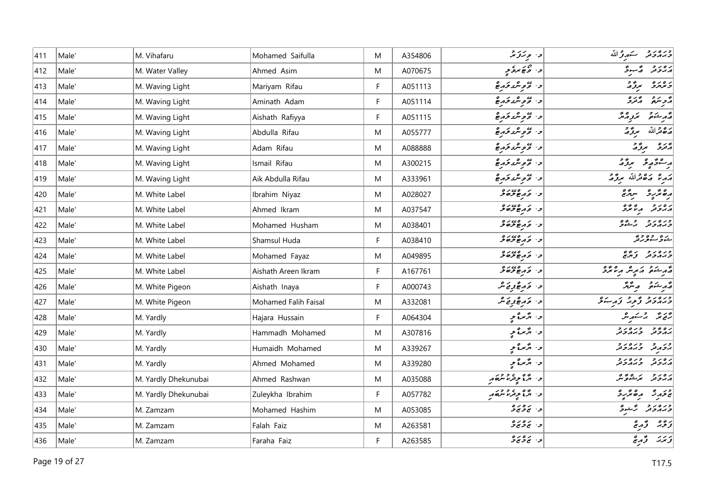| 411 | Male' | M. Vihafaru          | Mohamed Saifulla     | M         | A354806 | و <sub>'</sub> وِرَدَرْ پُرُ                                                                                                | وبرە بە ئەرقەللە                                       |
|-----|-------|----------------------|----------------------|-----------|---------|-----------------------------------------------------------------------------------------------------------------------------|--------------------------------------------------------|
| 412 | Male' | M. Water Valley      | Ahmed Asim           | M         | A070675 | د . ه څو په پوځ په                                                                                                          | بر 2 د ج<br>م <i>ر</i> بر <del>د</del> تر<br>رمح سبه و |
| 413 | Male' | M. Waving Light      | Mariyam Rifau        | F         | A051113 | و· ٷۄؚٮٮ۠ <sub>ػ</sub> ڔ؋                                                                                                   | ر ه ر ه<br><del>و</del> بربرو<br>برود                  |
| 414 | Male' | M. Waving Light      | Aminath Adam         | F         | A051114 | و· ٷويتروكرم                                                                                                                | پور ہ<br>پر تر تر<br>أرمره                             |
| 415 | Male' | M. Waving Light      | Aishath Rafiyya      | F         | A051115 | و· گۈم <sub>و</sub> ش <sub>ىد</sub> <del>ك</del> ەر ق                                                                       | ىمرومەتر<br>و در شه د<br>د کر                          |
| 416 | Male' | M. Waving Light      | Abdulla Rifau        | ${\sf M}$ | A055777 | و بمحو شد ځه و                                                                                                              | صقعرالله<br>بروگر                                      |
| 417 | Male' | M. Waving Light      | Adam Rifau           | ${\sf M}$ | A088888 | و· ٷۄؚٮٮ۠ <sub>ڬ</sub> ڬڔۄۨۛ                                                                                                | وره برژه.<br>منرد برژه.                                |
| 418 | Male' | M. Waving Light      | Ismail Rifau         | ${\sf M}$ | A300215 | و· ٷۄٮٮ۠ۯڋر؋                                                                                                                | ر شۇرۇ برۇر                                            |
| 419 | Male' | M. Waving Light      | Aik Abdulla Rifau    | M         | A333961 | و· ځو شرخه خه                                                                                                               | مَدِين مَءْمِراللَّهُ مِرْتَرْمُ                       |
| 420 | Male' | M. White Label       | Ibrahim Niyaz        | M         | A028027 | 30990.5                                                                                                                     | وەترىر سرترى                                           |
| 421 | Male' | M. White Label       | Ahmed Ikram          | ${\sf M}$ | A037547 | 30990.5                                                                                                                     |                                                        |
| 422 | Male' | M. White Label       | Mohamed Husham       | M         | A038401 | 30990000                                                                                                                    | ورەر د د دو                                            |
| 423 | Male' | M. White Label       | Shamsul Huda         | F         | A038410 | 50500000                                                                                                                    | شەۋىسەۋ <i>رى</i> گر                                   |
| 424 | Male' | M. White Label       | Mohamed Fayaz        | M         | A049895 | ד ק פניפיקים<br>ד ק פניפיקים                                                                                                | כנסנכ נבס                                              |
| 425 | Male' | M. White Label       | Aishath Areen Ikram  | F         | A167761 | 30990.5.5                                                                                                                   | ومرشوخ وبميشر مرامزد                                   |
| 426 | Male' | M. White Pigeon      | Aishath Inaya        | F         | A000743 | وستوري ويحارث                                                                                                               | وكرمشكم وستكر                                          |
| 427 | Male' | M. White Pigeon      | Mohamed Falih Faisal | M         | A332081 | د· غ <sub>ا</sub> رغ بوځ مګر                                                                                                | ورەرو ۋور ۋەب ك                                        |
| 428 | Male' | M. Yardly            | Hajara Hussain       | F         | A064304 | ح په مرگوري مو                                                                                                              | يوريو ومسكر مر                                         |
| 429 | Male' | M. Yardly            | Hammadh Mohamed      | M         | A307816 | د · مرَّمر، و په                                                                                                            | נסיי כנסני<br>ג'גלע כג'גלע                             |
| 430 | Male' | M. Yardly            | Humaidh Mohamed      | ${\sf M}$ | A339267 | ح التر مرة مح                                                                                                               | أرد و ورەرو                                            |
| 431 | Male' | M. Yardly            | Ahmed Mohamed        | M         | A339280 | <br> ح• مرگمره محمد                                                                                                         | נפגב בנסגב<br>גגבע בג <mark>ג</mark> בע                |
| 432 | Male' | M. Yardly Dhekunubai | Ahmed Rashwan        | M         | A035088 | כי תל בנקודוסת                                                                                                              | رەرد برەھ مە<br>مەروىر برخو <i>ۋ</i> ىر                |
| 433 | Male' | M. Yardly Dhekunubai | Zuleykha Ibrahim     | F         | A057782 | د . مرو مورد متعدد .<br>مستقطع متعدد متعدد .                                                                                | تم تورثه ره تر په د                                    |
| 434 | Male' | M. Zamzam            | Mohamed Hashim       | M         | A053085 | $\overset{\circ}{\mathcal{E}}$ $\overset{\circ}{\mathcal{E}}$ $\overset{\circ}{\mathcal{E}}$ $\overset{\circ}{\mathcal{E}}$ | ور ەر د<br>ت <i>ر بە</i> ر تەر                         |
| 435 | Male' | M. Zamzam            | Falah Faiz           | M         | A263581 | $555 - 5$                                                                                                                   | ویڅر<br>ترمرج                                          |
| 436 | Male' | M. Zamzam            | Faraha Faiz          | F         | A263585 | 555.                                                                                                                        | ۇترىز قەرىج                                            |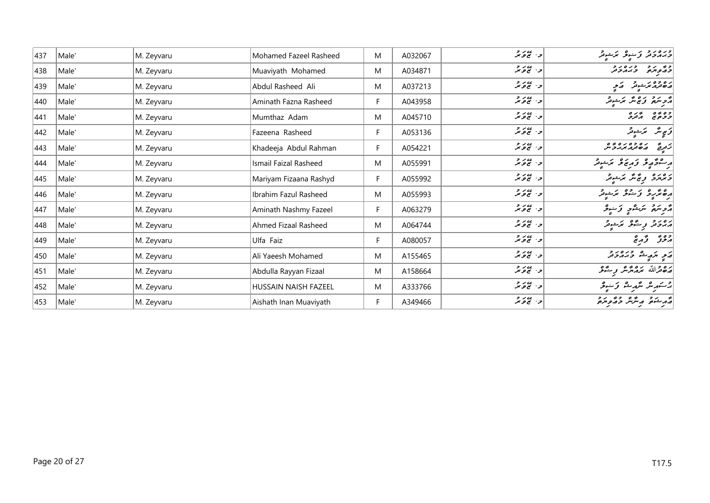| 437 | lMale' | M. Zeyvaru | Mohamed Fazeel Rasheed | M  | A032067 | ے میں دی۔<br>ح• می حو میں | وبرە دو ترىنىدى ترىشىتر                 |
|-----|--------|------------|------------------------|----|---------|---------------------------|-----------------------------------------|
| 438 | Male'  | M. Zeyvaru | Muaviyath Mohamed      | M  | A034871 | <sub>ح</sub> .    يې د چر | כל נכ כנסנכ<br>כ <i>הפתם כג</i> הכת     |
| 439 | Male'  | M. Zeyvaru | Abdul Rasheed Ali      | M  | A037213 | ے میں دی۔<br>ح• می حو مگر | פיסור מביע ברית האבין                   |
| 440 | Male'  | M. Zeyvaru | Aminath Fazna Rasheed  | F. | A043958 | د ، سي د د                | أمراه متروم وكالمتمر مكرسومر            |
| 441 | Male'  | M. Zeyvaru | Mumthaz Adam           | M  | A045710 | د ، سی دیگر               | وه پوه   پوره<br>  <i>و و</i> ج عمد امر |
| 442 | Male'  | M. Zeyvaru | Fazeena Rasheed        | F  | A053136 | ے میں دی۔<br>ح• سی حو س   | كوسي متثر مترسوقر                       |
| 443 | Male'  | M. Zeyvaru | Khadeeja Abdul Rahman  | F  | A054221 | د ، سی د د                | كترقح مكافح مده و محمد                  |
| 444 | Male'  | M. Zeyvaru | Ismail Faizal Rasheed  | M  | A055991 | ر می در<br>د اسمی کار     | أرجع ويدعى ترسيقه                       |
| 445 | Male'  | M. Zeyvaru | Mariyam Fizaana Rashyd | F  | A055992 | ے میں دی۔<br>ح• سی حو س   | د وبرو و پخ مگر برَٹویر                 |
| 446 | Male'  | M. Zeyvaru | Ibrahim Fazul Rasheed  | M  | A055993 | د ، سي د د                | أرەپرىرى كەسىرى برىشوش                  |
| 447 | Male'  | M. Zeyvaru | Aminath Nashmy Fazeel  | F  | A063279 | ے میں دی۔<br>ح• می حو محر | أأتريتهم لترشو وتنوفر                   |
| 448 | Male'  | M. Zeyvaru | Ahmed Fizaal Rasheed   | M  | A064744 | د ، سی د د                | أرور ويستمو برجور                       |
| 449 | Male'  | M. Zeyvaru | Ulfa Faiz              | F  | A080057 | د ، سی د تر               | أوه بحج ومنح                            |
| 450 | Male'  | M. Zeyvaru | Ali Yaeesh Mohamed     | M  | A155465 | ر می در<br>د اسمی کار     | أركم الكرمي ومردور                      |
| 451 | Male'  | M. Zeyvaru | Abdulla Rayyan Fizaal  | M  | A158664 | <sub>ح</sub> .    يې د چر | رە داللە برەپرى رىيو                    |
| 452 | Male'  | M. Zeyvaru | HUSSAIN NAISH FAZEEL   | M  | A333766 | ے میں 2<br>ترسمبر 20 مگر  | رجمتهرش شريك ترسوفى                     |
| 453 | Male'  | M. Zeyvaru | Aishath Inan Muaviyath | F. | A349466 | ر می در<br>د اسمی کار     | أحمد شده و مسر و مرور د                 |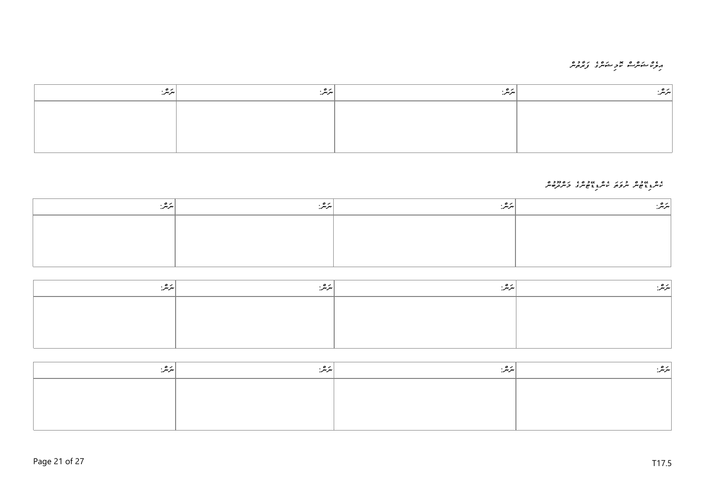## *w7qAn8m?sCw7mRo>u;wEw7mRw;sBo<*

| ' مرمر | 'يئرىثر: |
|--------|----------|
|        |          |
|        |          |
|        |          |

## *w7q9r@w7m>sCw7qHtFoFw7s;mAm=q7w7qHtFoFw7s;*

| يئرمىش: | $^{\circ}$<br>. سر سر<br>$\cdot$ | $\circ$ $\sim$<br>-- | يئرمثر |
|---------|----------------------------------|----------------------|--------|
|         |                                  |                      |        |
|         |                                  |                      |        |
|         |                                  |                      |        |

| $\frac{2}{n}$ | $\overline{\phantom{a}}$ | اير هنه. | $\mathcal{O} \times$<br>سرسر |
|---------------|--------------------------|----------|------------------------------|
|               |                          |          |                              |
|               |                          |          |                              |
|               |                          |          |                              |

| ' ئىرتىر: | سر سر |  |
|-----------|-------|--|
|           |       |  |
|           |       |  |
|           |       |  |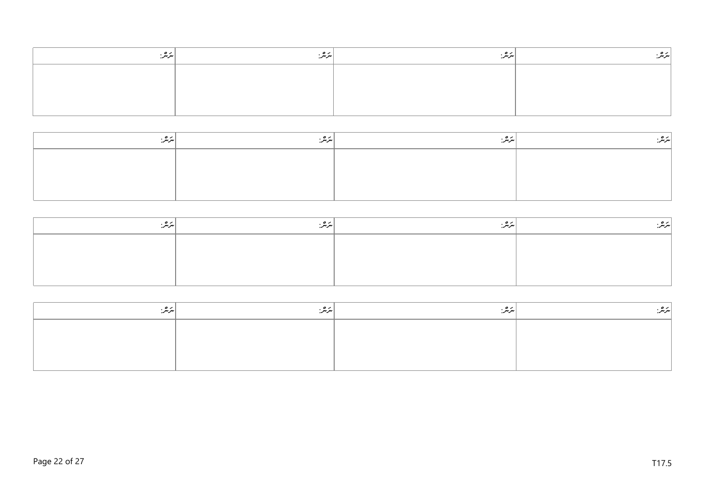| يزهر | $^{\circ}$ | ىئرىتر: |  |
|------|------------|---------|--|
|      |            |         |  |
|      |            |         |  |
|      |            |         |  |

| <sup>.</sup> سرسر. |  |
|--------------------|--|
|                    |  |
|                    |  |
|                    |  |

| ىئرىتر. | $\sim$ | ا بر هه. | لىرىش |
|---------|--------|----------|-------|
|         |        |          |       |
|         |        |          |       |
|         |        |          |       |

| 。<br>مرس. | $\overline{\phantom{a}}$<br>مر سر | يتريثر |
|-----------|-----------------------------------|--------|
|           |                                   |        |
|           |                                   |        |
|           |                                   |        |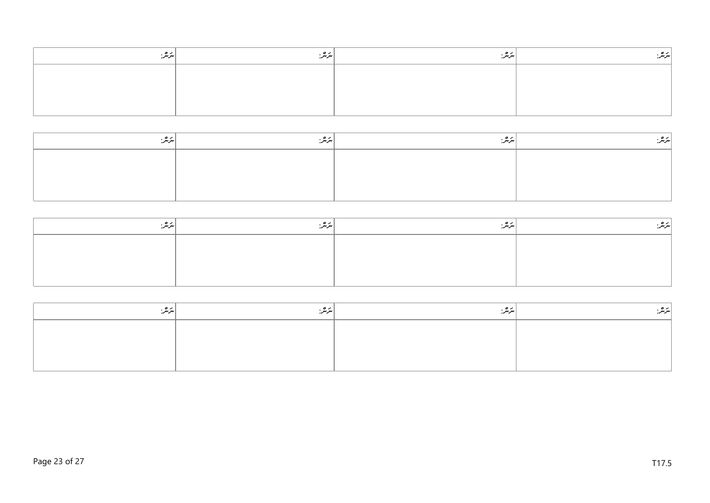| ير هو . | $\overline{\phantom{a}}$ | يرمر | اير هنه. |
|---------|--------------------------|------|----------|
|         |                          |      |          |
|         |                          |      |          |
|         |                          |      |          |

| ىر ھ | $\circ$ $\sim$<br>ا سرسر. | $\circ$ $\sim$<br>' سرسر . | o <i>~</i><br>سرسر. |
|------|---------------------------|----------------------------|---------------------|
|      |                           |                            |                     |
|      |                           |                            |                     |
|      |                           |                            |                     |

| 'تترنثر: | . .<br>يسمونس. |  |
|----------|----------------|--|
|          |                |  |
|          |                |  |
|          |                |  |

|  | . ه |
|--|-----|
|  |     |
|  |     |
|  |     |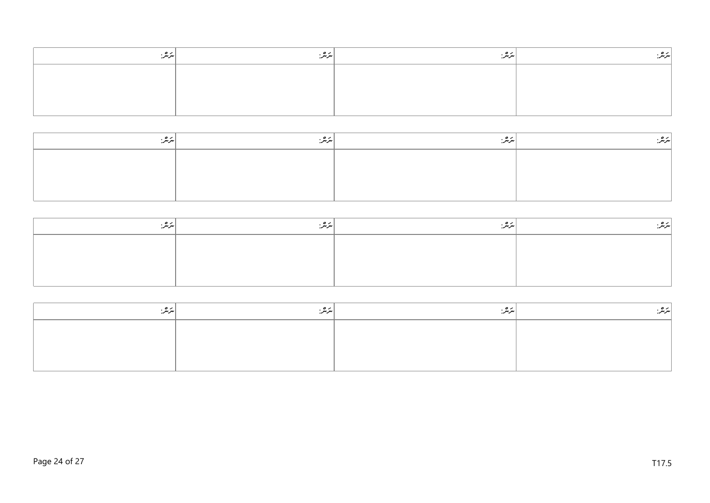| ير هو . | $\overline{\phantom{a}}$ | يرمر | اير هنه. |
|---------|--------------------------|------|----------|
|         |                          |      |          |
|         |                          |      |          |
|         |                          |      |          |

| ئىرتىر: | $\sim$<br>ا سرسر . | يئرمثر | o . |
|---------|--------------------|--------|-----|
|         |                    |        |     |
|         |                    |        |     |
|         |                    |        |     |

| انترنثر: | ر ه |  |
|----------|-----|--|
|          |     |  |
|          |     |  |
|          |     |  |

|  | . ه |
|--|-----|
|  |     |
|  |     |
|  |     |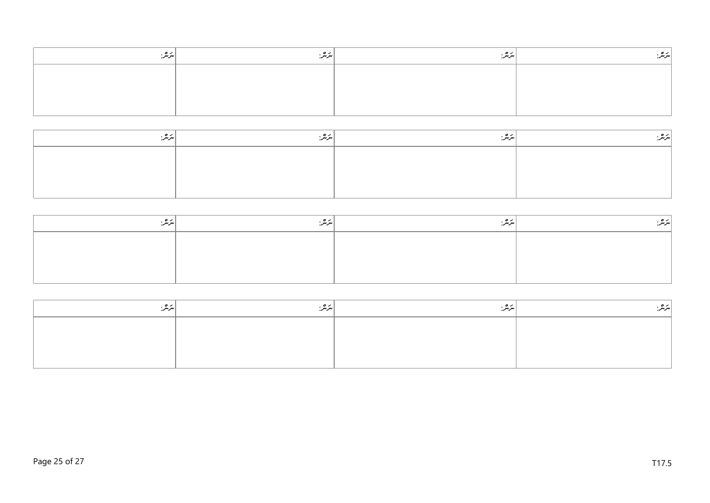| $\cdot$ | ο. | $\frac{\circ}{\cdot}$ | $\sim$<br>سرسر |
|---------|----|-----------------------|----------------|
|         |    |                       |                |
|         |    |                       |                |
|         |    |                       |                |

| ايرعر: | ر ه<br>. . |  |
|--------|------------|--|
|        |            |  |
|        |            |  |
|        |            |  |

| بر ه | 。 | $\sim$<br>َ سومس |  |
|------|---|------------------|--|
|      |   |                  |  |
|      |   |                  |  |
|      |   |                  |  |

| 。<br>. س | ىرىىر |  |
|----------|-------|--|
|          |       |  |
|          |       |  |
|          |       |  |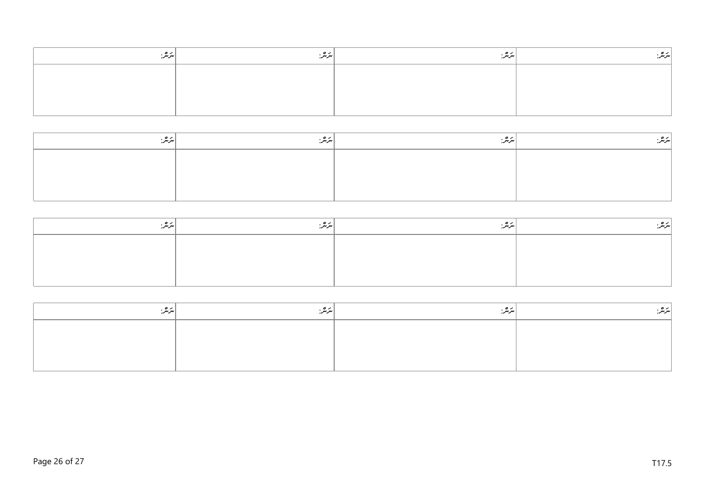| ير هو . | $\overline{\phantom{a}}$ | يرمر | لتزمثن |
|---------|--------------------------|------|--------|
|         |                          |      |        |
|         |                          |      |        |
|         |                          |      |        |

| ىر تىر: | $\circ$ $\sim$<br>" سرسر . | يترمير | o . |
|---------|----------------------------|--------|-----|
|         |                            |        |     |
|         |                            |        |     |
|         |                            |        |     |

| كترنثر: | 。 | 。<br>سرسر. | o <i>~</i> |
|---------|---|------------|------------|
|         |   |            |            |
|         |   |            |            |
|         |   |            |            |

|  | . ه |
|--|-----|
|  |     |
|  |     |
|  |     |